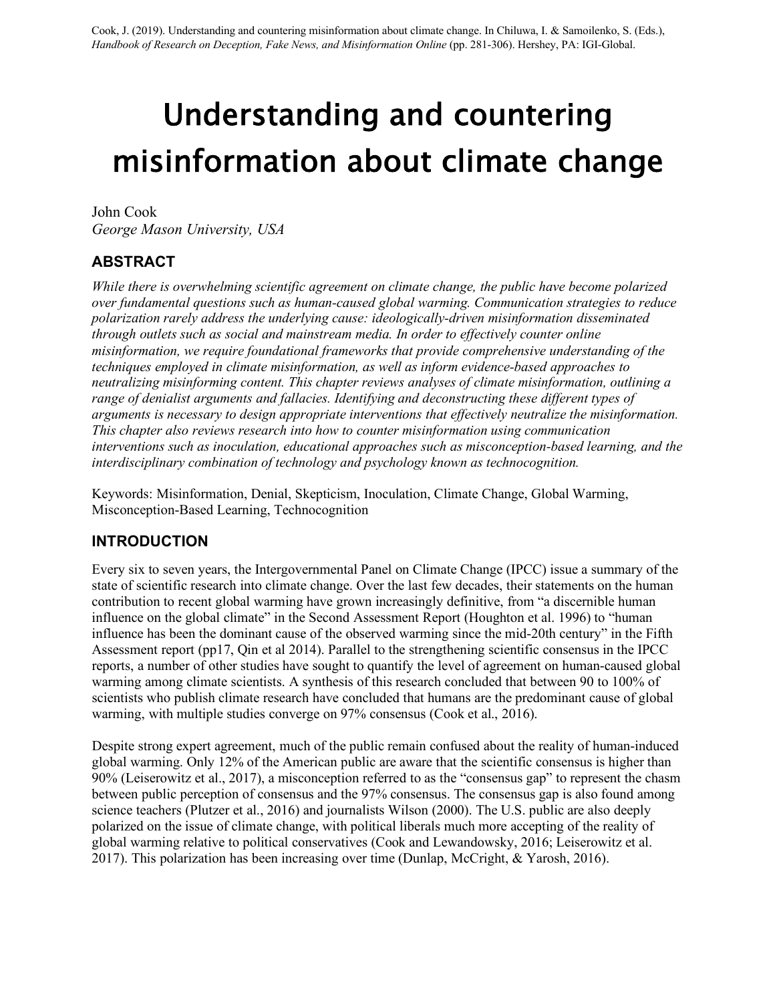# Understanding and countering misinformation about climate change

John Cook *George Mason University, USA*

# **ABSTRACT**

*While there is overwhelming scientific agreement on climate change, the public have become polarized over fundamental questions such as human-caused global warming. Communication strategies to reduce polarization rarely address the underlying cause: ideologically-driven misinformation disseminated through outlets such as social and mainstream media. In order to effectively counter online misinformation, we require foundational frameworks that provide comprehensive understanding of the techniques employed in climate misinformation, as well as inform evidence-based approaches to neutralizing misinforming content. This chapter reviews analyses of climate misinformation, outlining a range of denialist arguments and fallacies. Identifying and deconstructing these different types of arguments is necessary to design appropriate interventions that effectively neutralize the misinformation. This chapter also reviews research into how to counter misinformation using communication interventions such as inoculation, educational approaches such as misconception-based learning, and the interdisciplinary combination of technology and psychology known as technocognition.*

Keywords: Misinformation, Denial, Skepticism, Inoculation, Climate Change, Global Warming, Misconception-Based Learning, Technocognition

## **INTRODUCTION**

Every six to seven years, the Intergovernmental Panel on Climate Change (IPCC) issue a summary of the state of scientific research into climate change. Over the last few decades, their statements on the human contribution to recent global warming have grown increasingly definitive, from "a discernible human influence on the global climate" in the Second Assessment Report (Houghton et al. 1996) to "human influence has been the dominant cause of the observed warming since the mid-20th century" in the Fifth Assessment report (pp17, Qin et al 2014). Parallel to the strengthening scientific consensus in the IPCC reports, a number of other studies have sought to quantify the level of agreement on human-caused global warming among climate scientists. A synthesis of this research concluded that between 90 to 100% of scientists who publish climate research have concluded that humans are the predominant cause of global warming, with multiple studies converge on 97% consensus (Cook et al., 2016).

Despite strong expert agreement, much of the public remain confused about the reality of human-induced global warming. Only 12% of the American public are aware that the scientific consensus is higher than 90% (Leiserowitz et al., 2017), a misconception referred to as the "consensus gap" to represent the chasm between public perception of consensus and the 97% consensus. The consensus gap is also found among science teachers (Plutzer et al., 2016) and journalists Wilson (2000). The U.S. public are also deeply polarized on the issue of climate change, with political liberals much more accepting of the reality of global warming relative to political conservatives (Cook and Lewandowsky, 2016; Leiserowitz et al. 2017). This polarization has been increasing over time (Dunlap, McCright, & Yarosh, 2016).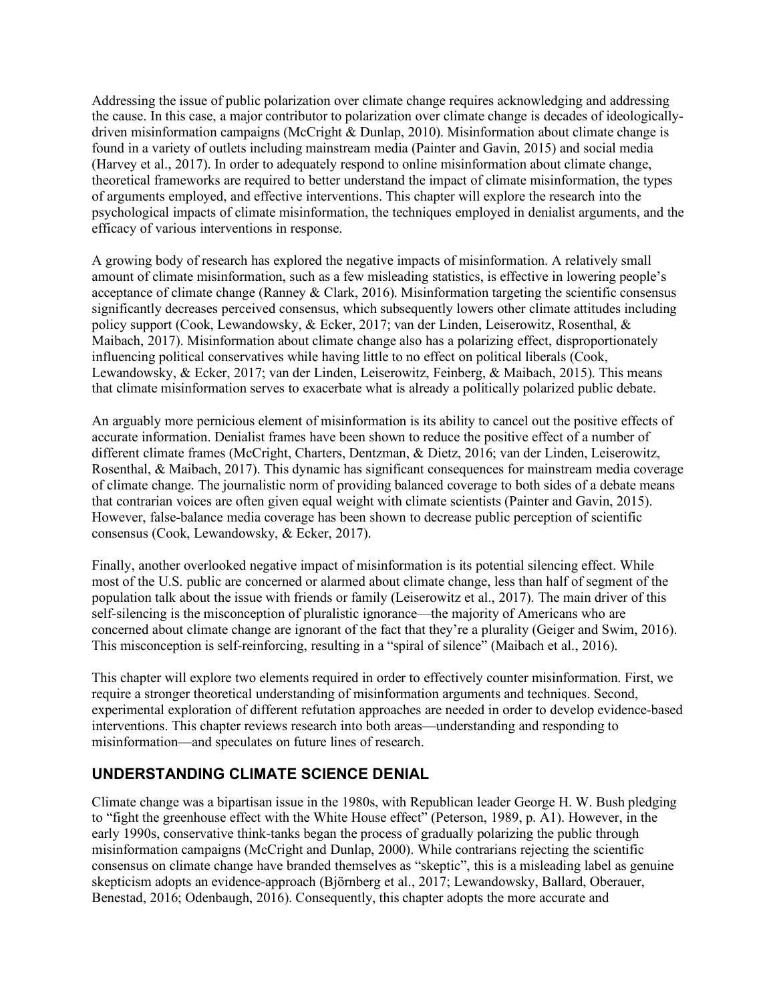Addressing the issue of public polarization over climate change requires acknowledging and addressing the cause. In this case, a major contributor to polarization over climate change is decades of ideologicallydriven misinformation campaigns (McCright & Dunlap, 2010). Misinformation about climate change is found in a variety of outlets including mainstream media (Painter and Gavin, 2015) and social media (Harvey et al., 2017). In order to adequately respond to online misinformation about climate change, theoretical frameworks are required to better understand the impact of climate misinformation, the types of arguments employed, and effective interventions. This chapter will explore the research into the psychological impacts of climate misinformation, the techniques employed in denialist arguments, and the efficacy of various interventions in response.

A growing body of research has explored the negative impacts of misinformation. A relatively small amount of climate misinformation, such as a few misleading statistics, is effective in lowering people's acceptance of climate change (Ranney & Clark, 2016). Misinformation targeting the scientific consensus significantly decreases perceived consensus, which subsequently lowers other climate attitudes including policy support (Cook, Lewandowsky, & Ecker, 2017; van der Linden, Leiserowitz, Rosenthal, & Maibach, 2017). Misinformation about climate change also has a polarizing effect, disproportionately influencing political conservatives while having little to no effect on political liberals (Cook, Lewandowsky, & Ecker, 2017; van der Linden, Leiserowitz, Feinberg, & Maibach, 2015). This means that climate misinformation serves to exacerbate what is already a politically polarized public debate.

An arguably more pernicious element of misinformation is its ability to cancel out the positive effects of accurate information. Denialist frames have been shown to reduce the positive effect of a number of different climate frames (McCright, Charters, Dentzman, & Dietz, 2016; van der Linden, Leiserowitz, Rosenthal, & Maibach, 2017). This dynamic has significant consequences for mainstream media coverage of climate change. The journalistic norm of providing balanced coverage to both sides of a debate means that contrarian voices are often given equal weight with climate scientists (Painter and Gavin, 2015). However, false-balance media coverage has been shown to decrease public perception of scientific consensus (Cook, Lewandowsky, & Ecker, 2017).

Finally, another overlooked negative impact of misinformation is its potential silencing effect. While most of the U.S. public are concerned or alarmed about climate change, less than half of segment of the population talk about the issue with friends or family (Leiserowitz et al., 2017). The main driver of this self-silencing is the misconception of pluralistic ignorance—the majority of Americans who are concerned about climate change are ignorant of the fact that they're a plurality (Geiger and Swim, 2016). This misconception is self-reinforcing, resulting in a "spiral of silence" (Maibach et al., 2016).

This chapter will explore two elements required in order to effectively counter misinformation. First, we require a stronger theoretical understanding of misinformation arguments and techniques. Second, experimental exploration of different refutation approaches are needed in order to develop evidence-based interventions. This chapter reviews research into both areas—understanding and responding to misinformation—and speculates on future lines of research.

## **UNDERSTANDING CLIMATE SCIENCE DENIAL**

Climate change was a bipartisan issue in the 1980s, with Republican leader George H. W. Bush pledging to "fight the greenhouse effect with the White House effect" (Peterson, 1989, p. A1). However, in the early 1990s, conservative think-tanks began the process of gradually polarizing the public through misinformation campaigns (McCright and Dunlap, 2000). While contrarians rejecting the scientific consensus on climate change have branded themselves as "skeptic", this is a misleading label as genuine skepticism adopts an evidence-approach (Björnberg et al., 2017; Lewandowsky, Ballard, Oberauer, Benestad, 2016; Odenbaugh, 2016). Consequently, this chapter adopts the more accurate and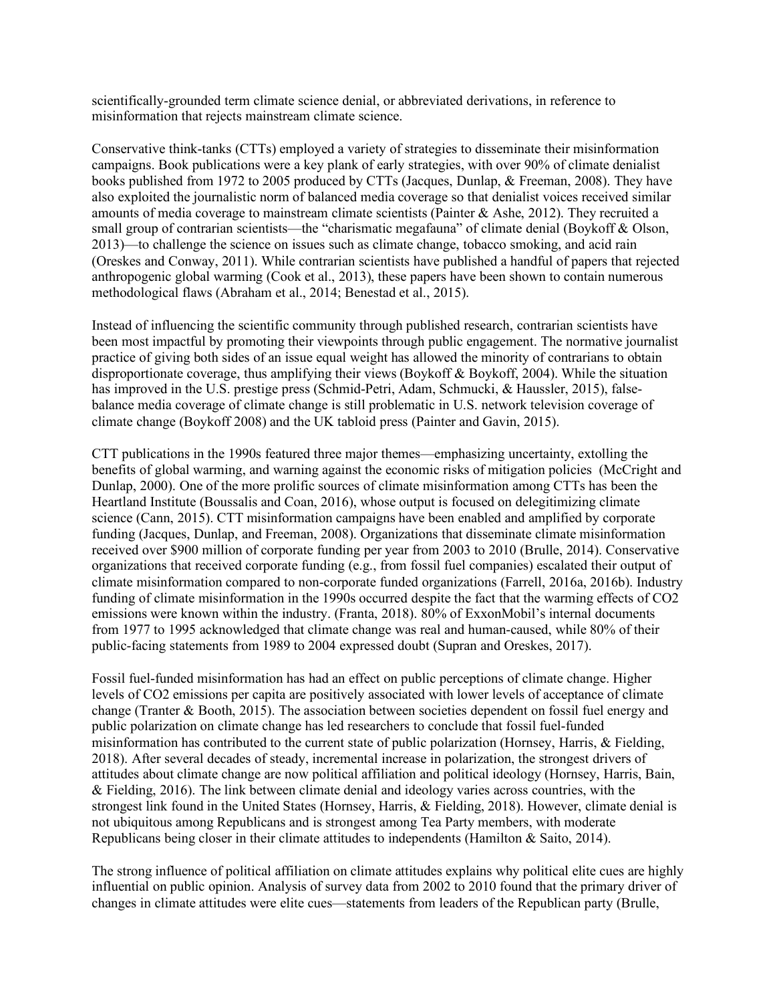scientifically-grounded term climate science denial, or abbreviated derivations, in reference to misinformation that rejects mainstream climate science.

Conservative think-tanks (CTTs) employed a variety of strategies to disseminate their misinformation campaigns. Book publications were a key plank of early strategies, with over 90% of climate denialist books published from 1972 to 2005 produced by CTTs (Jacques, Dunlap, & Freeman, 2008). They have also exploited the journalistic norm of balanced media coverage so that denialist voices received similar amounts of media coverage to mainstream climate scientists (Painter & Ashe, 2012). They recruited a small group of contrarian scientists—the "charismatic megafauna" of climate denial (Boykoff & Olson, 2013)—to challenge the science on issues such as climate change, tobacco smoking, and acid rain (Oreskes and Conway, 2011). While contrarian scientists have published a handful of papers that rejected anthropogenic global warming (Cook et al., 2013), these papers have been shown to contain numerous methodological flaws (Abraham et al., 2014; Benestad et al., 2015).

Instead of influencing the scientific community through published research, contrarian scientists have been most impactful by promoting their viewpoints through public engagement. The normative journalist practice of giving both sides of an issue equal weight has allowed the minority of contrarians to obtain disproportionate coverage, thus amplifying their views (Boykoff & Boykoff, 2004). While the situation has improved in the U.S. prestige press (Schmid-Petri, Adam, Schmucki, & Haussler, 2015), falsebalance media coverage of climate change is still problematic in U.S. network television coverage of climate change (Boykoff 2008) and the UK tabloid press (Painter and Gavin, 2015).

CTT publications in the 1990s featured three major themes—emphasizing uncertainty, extolling the benefits of global warming, and warning against the economic risks of mitigation policies (McCright and Dunlap, 2000). One of the more prolific sources of climate misinformation among CTTs has been the Heartland Institute (Boussalis and Coan, 2016), whose output is focused on delegitimizing climate science (Cann, 2015). CTT misinformation campaigns have been enabled and amplified by corporate funding (Jacques, Dunlap, and Freeman, 2008). Organizations that disseminate climate misinformation received over \$900 million of corporate funding per year from 2003 to 2010 (Brulle, 2014). Conservative organizations that received corporate funding (e.g., from fossil fuel companies) escalated their output of climate misinformation compared to non-corporate funded organizations (Farrell, 2016a, 2016b). Industry funding of climate misinformation in the 1990s occurred despite the fact that the warming effects of CO2 emissions were known within the industry. (Franta, 2018). 80% of ExxonMobil's internal documents from 1977 to 1995 acknowledged that climate change was real and human-caused, while 80% of their public-facing statements from 1989 to 2004 expressed doubt (Supran and Oreskes, 2017).

Fossil fuel-funded misinformation has had an effect on public perceptions of climate change. Higher levels of CO2 emissions per capita are positively associated with lower levels of acceptance of climate change (Tranter & Booth, 2015). The association between societies dependent on fossil fuel energy and public polarization on climate change has led researchers to conclude that fossil fuel-funded misinformation has contributed to the current state of public polarization (Hornsey, Harris, & Fielding, 2018). After several decades of steady, incremental increase in polarization, the strongest drivers of attitudes about climate change are now political affiliation and political ideology (Hornsey, Harris, Bain, & Fielding, 2016). The link between climate denial and ideology varies across countries, with the strongest link found in the United States (Hornsey, Harris, & Fielding, 2018). However, climate denial is not ubiquitous among Republicans and is strongest among Tea Party members, with moderate Republicans being closer in their climate attitudes to independents (Hamilton & Saito, 2014).

The strong influence of political affiliation on climate attitudes explains why political elite cues are highly influential on public opinion. Analysis of survey data from 2002 to 2010 found that the primary driver of changes in climate attitudes were elite cues—statements from leaders of the Republican party (Brulle,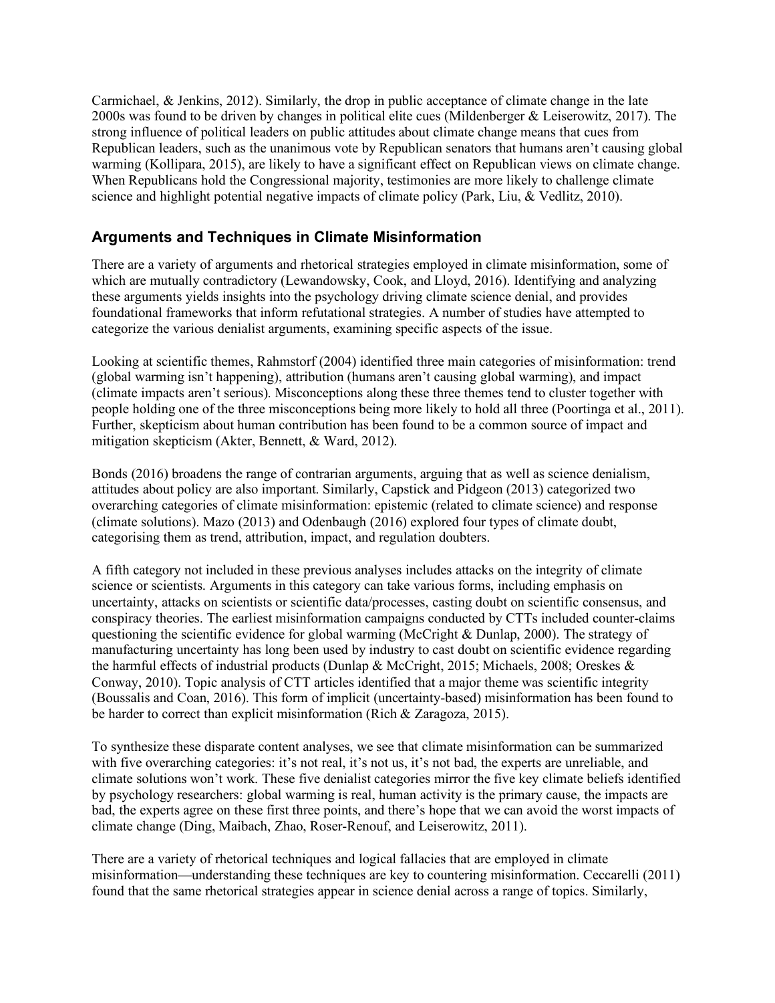Carmichael, & Jenkins, 2012). Similarly, the drop in public acceptance of climate change in the late 2000s was found to be driven by changes in political elite cues (Mildenberger & Leiserowitz, 2017). The strong influence of political leaders on public attitudes about climate change means that cues from Republican leaders, such as the unanimous vote by Republican senators that humans aren't causing global warming (Kollipara, 2015), are likely to have a significant effect on Republican views on climate change. When Republicans hold the Congressional majority, testimonies are more likely to challenge climate science and highlight potential negative impacts of climate policy (Park, Liu, & Vedlitz, 2010).

# **Arguments and Techniques in Climate Misinformation**

There are a variety of arguments and rhetorical strategies employed in climate misinformation, some of which are mutually contradictory (Lewandowsky, Cook, and Lloyd, 2016). Identifying and analyzing these arguments yields insights into the psychology driving climate science denial, and provides foundational frameworks that inform refutational strategies. A number of studies have attempted to categorize the various denialist arguments, examining specific aspects of the issue.

Looking at scientific themes, Rahmstorf (2004) identified three main categories of misinformation: trend (global warming isn't happening), attribution (humans aren't causing global warming), and impact (climate impacts aren't serious). Misconceptions along these three themes tend to cluster together with people holding one of the three misconceptions being more likely to hold all three (Poortinga et al., 2011). Further, skepticism about human contribution has been found to be a common source of impact and mitigation skepticism (Akter, Bennett, & Ward, 2012).

Bonds (2016) broadens the range of contrarian arguments, arguing that as well as science denialism, attitudes about policy are also important. Similarly, Capstick and Pidgeon (2013) categorized two overarching categories of climate misinformation: epistemic (related to climate science) and response (climate solutions). Mazo (2013) and Odenbaugh (2016) explored four types of climate doubt, categorising them as trend, attribution, impact, and regulation doubters.

A fifth category not included in these previous analyses includes attacks on the integrity of climate science or scientists. Arguments in this category can take various forms, including emphasis on uncertainty, attacks on scientists or scientific data/processes, casting doubt on scientific consensus, and conspiracy theories. The earliest misinformation campaigns conducted by CTTs included counter-claims questioning the scientific evidence for global warming (McCright & Dunlap, 2000). The strategy of manufacturing uncertainty has long been used by industry to cast doubt on scientific evidence regarding the harmful effects of industrial products (Dunlap & McCright, 2015; Michaels, 2008; Oreskes & Conway, 2010). Topic analysis of CTT articles identified that a major theme was scientific integrity (Boussalis and Coan, 2016). This form of implicit (uncertainty-based) misinformation has been found to be harder to correct than explicit misinformation (Rich & Zaragoza, 2015).

To synthesize these disparate content analyses, we see that climate misinformation can be summarized with five overarching categories: it's not real, it's not us, it's not bad, the experts are unreliable, and climate solutions won't work. These five denialist categories mirror the five key climate beliefs identified by psychology researchers: global warming is real, human activity is the primary cause, the impacts are bad, the experts agree on these first three points, and there's hope that we can avoid the worst impacts of climate change (Ding, Maibach, Zhao, Roser-Renouf, and Leiserowitz, 2011).

There are a variety of rhetorical techniques and logical fallacies that are employed in climate misinformation—understanding these techniques are key to countering misinformation. Ceccarelli (2011) found that the same rhetorical strategies appear in science denial across a range of topics. Similarly,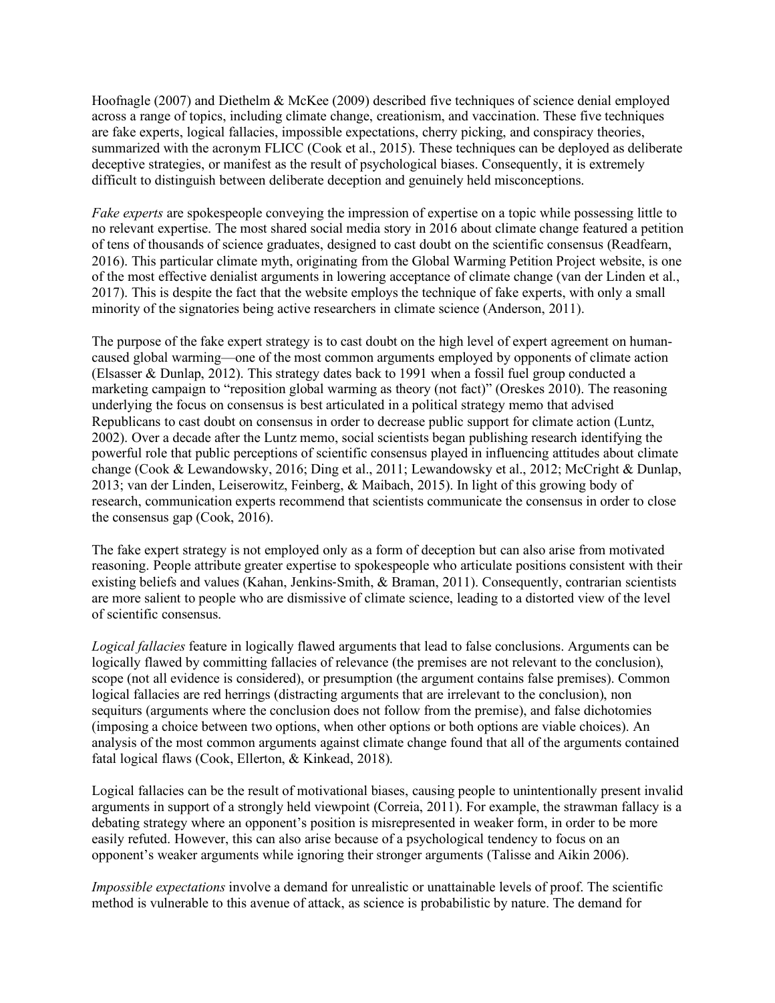Hoofnagle (2007) and Diethelm & McKee (2009) described five techniques of science denial employed across a range of topics, including climate change, creationism, and vaccination. These five techniques are fake experts, logical fallacies, impossible expectations, cherry picking, and conspiracy theories, summarized with the acronym FLICC (Cook et al., 2015). These techniques can be deployed as deliberate deceptive strategies, or manifest as the result of psychological biases. Consequently, it is extremely difficult to distinguish between deliberate deception and genuinely held misconceptions.

*Fake experts* are spokespeople conveying the impression of expertise on a topic while possessing little to no relevant expertise. The most shared social media story in 2016 about climate change featured a petition of tens of thousands of science graduates, designed to cast doubt on the scientific consensus (Readfearn, 2016). This particular climate myth, originating from the Global Warming Petition Project website, is one of the most effective denialist arguments in lowering acceptance of climate change (van der Linden et al., 2017). This is despite the fact that the website employs the technique of fake experts, with only a small minority of the signatories being active researchers in climate science (Anderson, 2011).

The purpose of the fake expert strategy is to cast doubt on the high level of expert agreement on humancaused global warming—one of the most common arguments employed by opponents of climate action (Elsasser & Dunlap, 2012). This strategy dates back to 1991 when a fossil fuel group conducted a marketing campaign to "reposition global warming as theory (not fact)" (Oreskes 2010). The reasoning underlying the focus on consensus is best articulated in a political strategy memo that advised Republicans to cast doubt on consensus in order to decrease public support for climate action (Luntz, 2002). Over a decade after the Luntz memo, social scientists began publishing research identifying the powerful role that public perceptions of scientific consensus played in influencing attitudes about climate change (Cook & Lewandowsky, 2016; Ding et al., 2011; Lewandowsky et al., 2012; McCright & Dunlap, 2013; van der Linden, Leiserowitz, Feinberg, & Maibach, 2015). In light of this growing body of research, communication experts recommend that scientists communicate the consensus in order to close the consensus gap (Cook, 2016).

The fake expert strategy is not employed only as a form of deception but can also arise from motivated reasoning. People attribute greater expertise to spokespeople who articulate positions consistent with their existing beliefs and values (Kahan, Jenkins-Smith, & Braman, 2011). Consequently, contrarian scientists are more salient to people who are dismissive of climate science, leading to a distorted view of the level of scientific consensus.

*Logical fallacies* feature in logically flawed arguments that lead to false conclusions. Arguments can be logically flawed by committing fallacies of relevance (the premises are not relevant to the conclusion), scope (not all evidence is considered), or presumption (the argument contains false premises). Common logical fallacies are red herrings (distracting arguments that are irrelevant to the conclusion), non sequiturs (arguments where the conclusion does not follow from the premise), and false dichotomies (imposing a choice between two options, when other options or both options are viable choices). An analysis of the most common arguments against climate change found that all of the arguments contained fatal logical flaws (Cook, Ellerton, & Kinkead, 2018).

Logical fallacies can be the result of motivational biases, causing people to unintentionally present invalid arguments in support of a strongly held viewpoint (Correia, 2011). For example, the strawman fallacy is a debating strategy where an opponent's position is misrepresented in weaker form, in order to be more easily refuted. However, this can also arise because of a psychological tendency to focus on an opponent's weaker arguments while ignoring their stronger arguments (Talisse and Aikin 2006).

*Impossible expectations* involve a demand for unrealistic or unattainable levels of proof. The scientific method is vulnerable to this avenue of attack, as science is probabilistic by nature. The demand for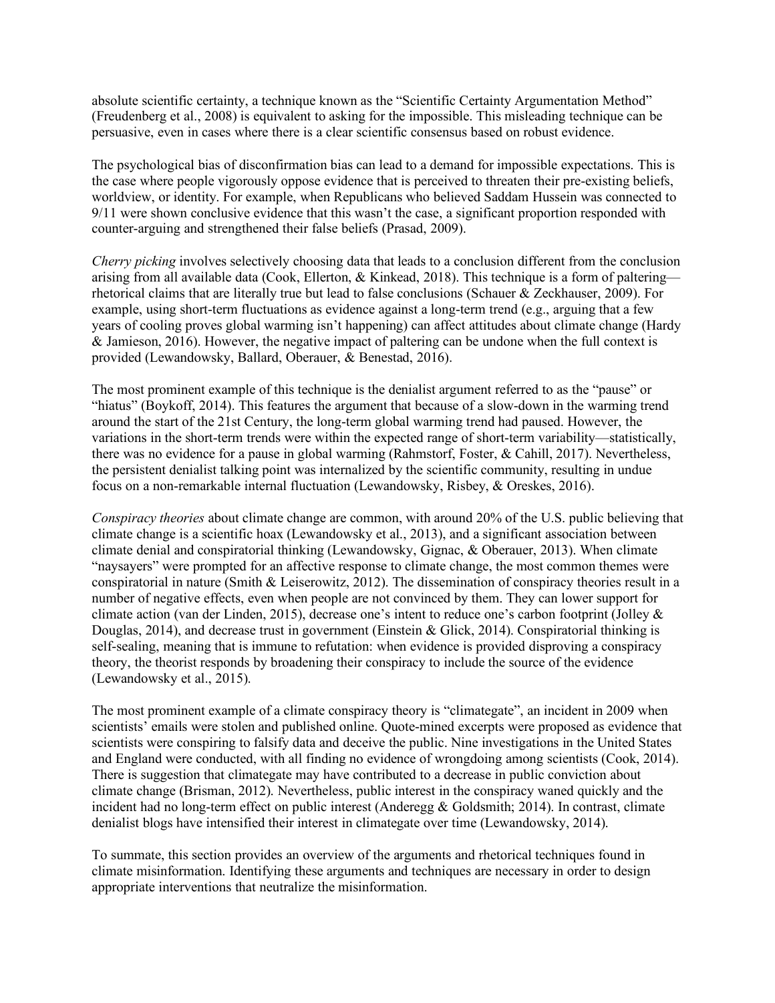absolute scientific certainty, a technique known as the "Scientific Certainty Argumentation Method" (Freudenberg et al., 2008) is equivalent to asking for the impossible. This misleading technique can be persuasive, even in cases where there is a clear scientific consensus based on robust evidence.

The psychological bias of disconfirmation bias can lead to a demand for impossible expectations. This is the case where people vigorously oppose evidence that is perceived to threaten their pre-existing beliefs, worldview, or identity. For example, when Republicans who believed Saddam Hussein was connected to 9/11 were shown conclusive evidence that this wasn't the case, a significant proportion responded with counter-arguing and strengthened their false beliefs (Prasad, 2009).

*Cherry picking* involves selectively choosing data that leads to a conclusion different from the conclusion arising from all available data (Cook, Ellerton, & Kinkead, 2018). This technique is a form of paltering rhetorical claims that are literally true but lead to false conclusions (Schauer & Zeckhauser, 2009). For example, using short-term fluctuations as evidence against a long-term trend (e.g., arguing that a few years of cooling proves global warming isn't happening) can affect attitudes about climate change (Hardy & Jamieson, 2016). However, the negative impact of paltering can be undone when the full context is provided (Lewandowsky, Ballard, Oberauer, & Benestad, 2016).

The most prominent example of this technique is the denialist argument referred to as the "pause" or "hiatus" (Boykoff, 2014). This features the argument that because of a slow-down in the warming trend around the start of the 21st Century, the long-term global warming trend had paused. However, the variations in the short-term trends were within the expected range of short-term variability—statistically, there was no evidence for a pause in global warming (Rahmstorf, Foster, & Cahill, 2017). Nevertheless, the persistent denialist talking point was internalized by the scientific community, resulting in undue focus on a non-remarkable internal fluctuation (Lewandowsky, Risbey, & Oreskes, 2016).

*Conspiracy theories* about climate change are common, with around 20% of the U.S. public believing that climate change is a scientific hoax (Lewandowsky et al., 2013), and a significant association between climate denial and conspiratorial thinking (Lewandowsky, Gignac, & Oberauer, 2013). When climate "naysayers" were prompted for an affective response to climate change, the most common themes were conspiratorial in nature (Smith & Leiserowitz, 2012). The dissemination of conspiracy theories result in a number of negative effects, even when people are not convinced by them. They can lower support for climate action (van der Linden, 2015), decrease one's intent to reduce one's carbon footprint (Jolley & Douglas, 2014), and decrease trust in government (Einstein & Glick, 2014). Conspiratorial thinking is self-sealing, meaning that is immune to refutation: when evidence is provided disproving a conspiracy theory, the theorist responds by broadening their conspiracy to include the source of the evidence (Lewandowsky et al., 2015).

The most prominent example of a climate conspiracy theory is "climategate", an incident in 2009 when scientists' emails were stolen and published online. Quote-mined excerpts were proposed as evidence that scientists were conspiring to falsify data and deceive the public. Nine investigations in the United States and England were conducted, with all finding no evidence of wrongdoing among scientists (Cook, 2014). There is suggestion that climategate may have contributed to a decrease in public conviction about climate change (Brisman, 2012). Nevertheless, public interest in the conspiracy waned quickly and the incident had no long-term effect on public interest (Anderegg & Goldsmith; 2014). In contrast, climate denialist blogs have intensified their interest in climategate over time (Lewandowsky, 2014).

To summate, this section provides an overview of the arguments and rhetorical techniques found in climate misinformation. Identifying these arguments and techniques are necessary in order to design appropriate interventions that neutralize the misinformation.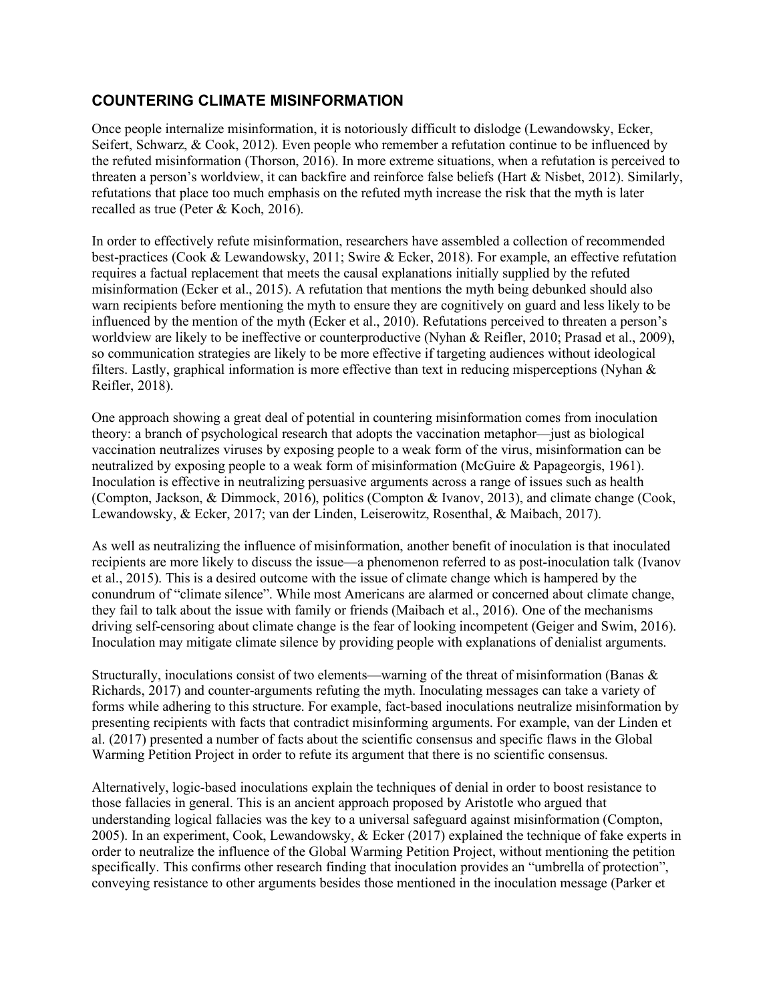# **COUNTERING CLIMATE MISINFORMATION**

Once people internalize misinformation, it is notoriously difficult to dislodge (Lewandowsky, Ecker, Seifert, Schwarz, & Cook, 2012). Even people who remember a refutation continue to be influenced by the refuted misinformation (Thorson, 2016). In more extreme situations, when a refutation is perceived to threaten a person's worldview, it can backfire and reinforce false beliefs (Hart & Nisbet, 2012). Similarly, refutations that place too much emphasis on the refuted myth increase the risk that the myth is later recalled as true (Peter & Koch, 2016).

In order to effectively refute misinformation, researchers have assembled a collection of recommended best-practices (Cook & Lewandowsky, 2011; Swire & Ecker, 2018). For example, an effective refutation requires a factual replacement that meets the causal explanations initially supplied by the refuted misinformation (Ecker et al., 2015). A refutation that mentions the myth being debunked should also warn recipients before mentioning the myth to ensure they are cognitively on guard and less likely to be influenced by the mention of the myth (Ecker et al., 2010). Refutations perceived to threaten a person's worldview are likely to be ineffective or counterproductive (Nyhan & Reifler, 2010; Prasad et al., 2009), so communication strategies are likely to be more effective if targeting audiences without ideological filters. Lastly, graphical information is more effective than text in reducing misperceptions (Nyhan & Reifler, 2018).

One approach showing a great deal of potential in countering misinformation comes from inoculation theory: a branch of psychological research that adopts the vaccination metaphor—just as biological vaccination neutralizes viruses by exposing people to a weak form of the virus, misinformation can be neutralized by exposing people to a weak form of misinformation (McGuire & Papageorgis, 1961). Inoculation is effective in neutralizing persuasive arguments across a range of issues such as health (Compton, Jackson, & Dimmock, 2016), politics (Compton & Ivanov, 2013), and climate change (Cook, Lewandowsky, & Ecker, 2017; van der Linden, Leiserowitz, Rosenthal, & Maibach, 2017).

As well as neutralizing the influence of misinformation, another benefit of inoculation is that inoculated recipients are more likely to discuss the issue—a phenomenon referred to as post-inoculation talk (Ivanov et al., 2015). This is a desired outcome with the issue of climate change which is hampered by the conundrum of "climate silence". While most Americans are alarmed or concerned about climate change, they fail to talk about the issue with family or friends (Maibach et al., 2016). One of the mechanisms driving self-censoring about climate change is the fear of looking incompetent (Geiger and Swim, 2016). Inoculation may mitigate climate silence by providing people with explanations of denialist arguments.

Structurally, inoculations consist of two elements—warning of the threat of misinformation (Banas  $\&$ Richards, 2017) and counter-arguments refuting the myth. Inoculating messages can take a variety of forms while adhering to this structure. For example, fact-based inoculations neutralize misinformation by presenting recipients with facts that contradict misinforming arguments. For example, van der Linden et al. (2017) presented a number of facts about the scientific consensus and specific flaws in the Global Warming Petition Project in order to refute its argument that there is no scientific consensus.

Alternatively, logic-based inoculations explain the techniques of denial in order to boost resistance to those fallacies in general. This is an ancient approach proposed by Aristotle who argued that understanding logical fallacies was the key to a universal safeguard against misinformation (Compton, 2005). In an experiment, Cook, Lewandowsky, & Ecker (2017) explained the technique of fake experts in order to neutralize the influence of the Global Warming Petition Project, without mentioning the petition specifically. This confirms other research finding that inoculation provides an "umbrella of protection", conveying resistance to other arguments besides those mentioned in the inoculation message (Parker et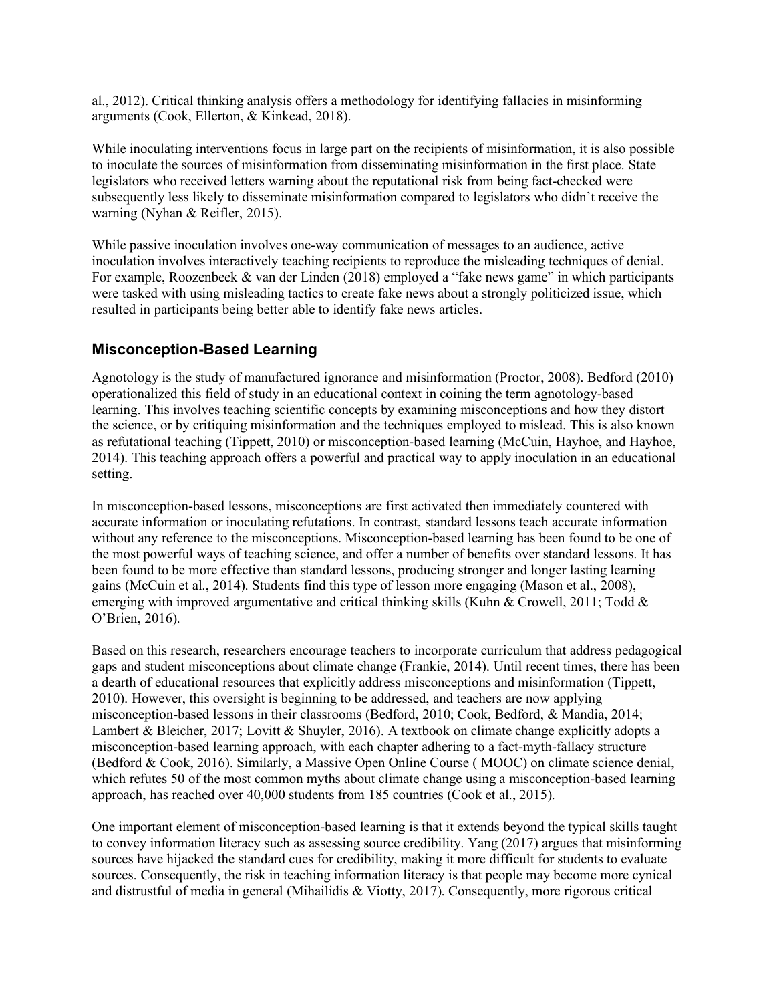al., 2012). Critical thinking analysis offers a methodology for identifying fallacies in misinforming arguments (Cook, Ellerton, & Kinkead, 2018).

While inoculating interventions focus in large part on the recipients of misinformation, it is also possible to inoculate the sources of misinformation from disseminating misinformation in the first place. State legislators who received letters warning about the reputational risk from being fact-checked were subsequently less likely to disseminate misinformation compared to legislators who didn't receive the warning (Nyhan & Reifler, 2015).

While passive inoculation involves one-way communication of messages to an audience, active inoculation involves interactively teaching recipients to reproduce the misleading techniques of denial. For example, Roozenbeek & van der Linden (2018) employed a "fake news game" in which participants were tasked with using misleading tactics to create fake news about a strongly politicized issue, which resulted in participants being better able to identify fake news articles.

#### **Misconception-Based Learning**

Agnotology is the study of manufactured ignorance and misinformation (Proctor, 2008). Bedford (2010) operationalized this field of study in an educational context in coining the term agnotology-based learning. This involves teaching scientific concepts by examining misconceptions and how they distort the science, or by critiquing misinformation and the techniques employed to mislead. This is also known as refutational teaching (Tippett, 2010) or misconception-based learning (McCuin, Hayhoe, and Hayhoe, 2014). This teaching approach offers a powerful and practical way to apply inoculation in an educational setting.

In misconception-based lessons, misconceptions are first activated then immediately countered with accurate information or inoculating refutations. In contrast, standard lessons teach accurate information without any reference to the misconceptions. Misconception-based learning has been found to be one of the most powerful ways of teaching science, and offer a number of benefits over standard lessons. It has been found to be more effective than standard lessons, producing stronger and longer lasting learning gains (McCuin et al., 2014). Students find this type of lesson more engaging (Mason et al., 2008), emerging with improved argumentative and critical thinking skills (Kuhn & Crowell, 2011; Todd & O'Brien, 2016).

Based on this research, researchers encourage teachers to incorporate curriculum that address pedagogical gaps and student misconceptions about climate change (Frankie, 2014). Until recent times, there has been a dearth of educational resources that explicitly address misconceptions and misinformation (Tippett, 2010). However, this oversight is beginning to be addressed, and teachers are now applying misconception-based lessons in their classrooms (Bedford, 2010; Cook, Bedford, & Mandia, 2014; Lambert & Bleicher, 2017; Lovitt & Shuyler, 2016). A textbook on climate change explicitly adopts a misconception-based learning approach, with each chapter adhering to a fact-myth-fallacy structure (Bedford & Cook, 2016). Similarly, a Massive Open Online Course ( MOOC) on climate science denial, which refutes 50 of the most common myths about climate change using a misconception-based learning approach, has reached over 40,000 students from 185 countries (Cook et al., 2015).

One important element of misconception-based learning is that it extends beyond the typical skills taught to convey information literacy such as assessing source credibility. Yang (2017) argues that misinforming sources have hijacked the standard cues for credibility, making it more difficult for students to evaluate sources. Consequently, the risk in teaching information literacy is that people may become more cynical and distrustful of media in general (Mihailidis & Viotty, 2017). Consequently, more rigorous critical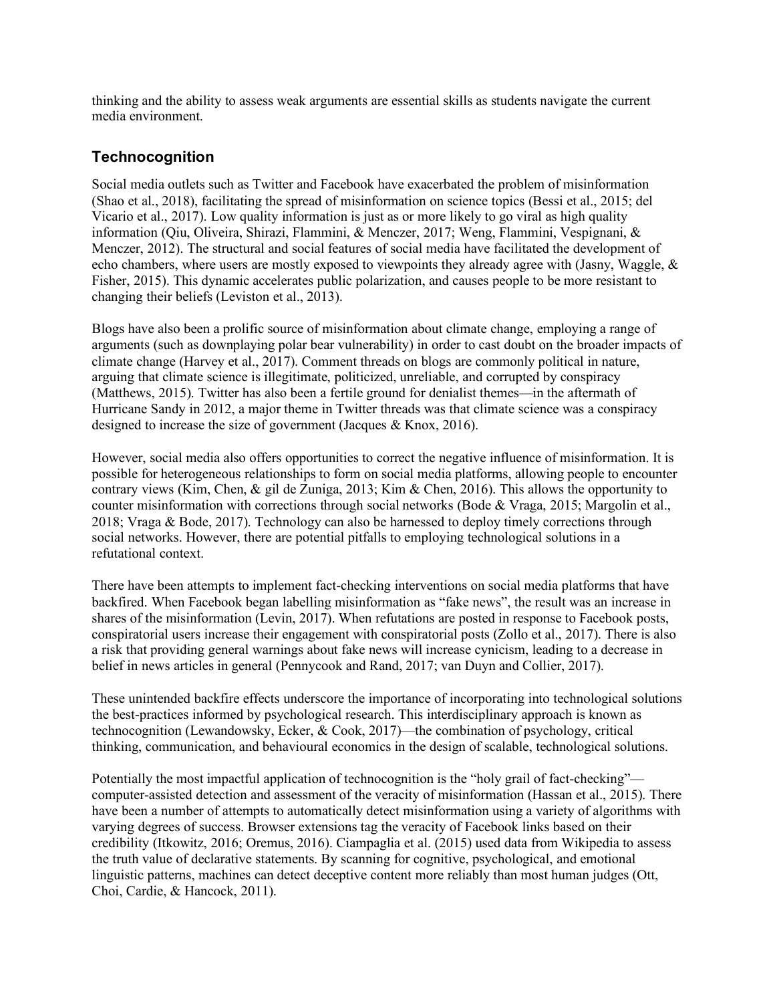thinking and the ability to assess weak arguments are essential skills as students navigate the current media environment.

#### **Technocognition**

Social media outlets such as Twitter and Facebook have exacerbated the problem of misinformation (Shao et al., 2018), facilitating the spread of misinformation on science topics (Bessi et al., 2015; del Vicario et al., 2017). Low quality information is just as or more likely to go viral as high quality information (Qiu, Oliveira, Shirazi, Flammini, & Menczer, 2017; Weng, Flammini, Vespignani, & Menczer, 2012). The structural and social features of social media have facilitated the development of echo chambers, where users are mostly exposed to viewpoints they already agree with (Jasny, Waggle, & Fisher, 2015). This dynamic accelerates public polarization, and causes people to be more resistant to changing their beliefs (Leviston et al., 2013).

Blogs have also been a prolific source of misinformation about climate change, employing a range of arguments (such as downplaying polar bear vulnerability) in order to cast doubt on the broader impacts of climate change (Harvey et al., 2017). Comment threads on blogs are commonly political in nature, arguing that climate science is illegitimate, politicized, unreliable, and corrupted by conspiracy (Matthews, 2015). Twitter has also been a fertile ground for denialist themes—in the aftermath of Hurricane Sandy in 2012, a major theme in Twitter threads was that climate science was a conspiracy designed to increase the size of government (Jacques & Knox, 2016).

However, social media also offers opportunities to correct the negative influence of misinformation. It is possible for heterogeneous relationships to form on social media platforms, allowing people to encounter contrary views (Kim, Chen, & gil de Zuniga, 2013; Kim & Chen, 2016). This allows the opportunity to counter misinformation with corrections through social networks (Bode & Vraga, 2015; Margolin et al., 2018; Vraga & Bode, 2017). Technology can also be harnessed to deploy timely corrections through social networks. However, there are potential pitfalls to employing technological solutions in a refutational context.

There have been attempts to implement fact-checking interventions on social media platforms that have backfired. When Facebook began labelling misinformation as "fake news", the result was an increase in shares of the misinformation (Levin, 2017). When refutations are posted in response to Facebook posts, conspiratorial users increase their engagement with conspiratorial posts (Zollo et al., 2017). There is also a risk that providing general warnings about fake news will increase cynicism, leading to a decrease in belief in news articles in general (Pennycook and Rand, 2017; van Duyn and Collier, 2017).

These unintended backfire effects underscore the importance of incorporating into technological solutions the best-practices informed by psychological research. This interdisciplinary approach is known as technocognition (Lewandowsky, Ecker, & Cook, 2017)—the combination of psychology, critical thinking, communication, and behavioural economics in the design of scalable, technological solutions.

Potentially the most impactful application of technocognition is the "holy grail of fact-checking" computer-assisted detection and assessment of the veracity of misinformation (Hassan et al., 2015). There have been a number of attempts to automatically detect misinformation using a variety of algorithms with varying degrees of success. Browser extensions tag the veracity of Facebook links based on their credibility (Itkowitz, 2016; Oremus, 2016). Ciampaglia et al. (2015) used data from Wikipedia to assess the truth value of declarative statements. By scanning for cognitive, psychological, and emotional linguistic patterns, machines can detect deceptive content more reliably than most human judges (Ott, Choi, Cardie, & Hancock, 2011).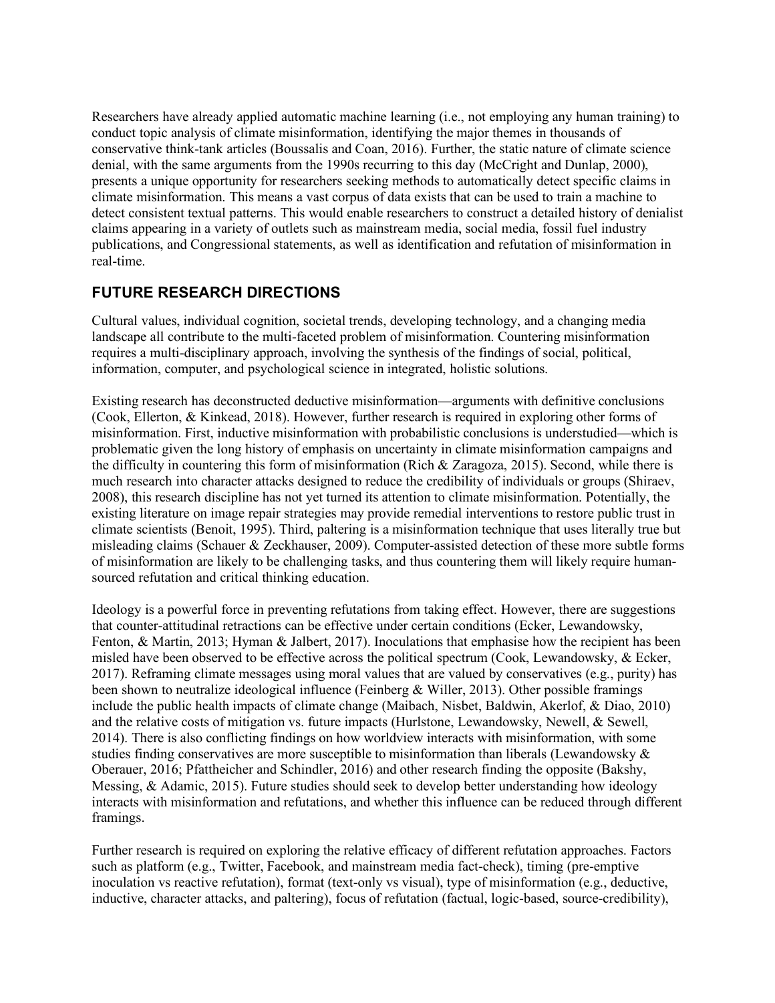Researchers have already applied automatic machine learning (i.e., not employing any human training) to conduct topic analysis of climate misinformation, identifying the major themes in thousands of conservative think-tank articles (Boussalis and Coan, 2016). Further, the static nature of climate science denial, with the same arguments from the 1990s recurring to this day (McCright and Dunlap, 2000), presents a unique opportunity for researchers seeking methods to automatically detect specific claims in climate misinformation. This means a vast corpus of data exists that can be used to train a machine to detect consistent textual patterns. This would enable researchers to construct a detailed history of denialist claims appearing in a variety of outlets such as mainstream media, social media, fossil fuel industry publications, and Congressional statements, as well as identification and refutation of misinformation in real-time.

# **FUTURE RESEARCH DIRECTIONS**

Cultural values, individual cognition, societal trends, developing technology, and a changing media landscape all contribute to the multi-faceted problem of misinformation. Countering misinformation requires a multi-disciplinary approach, involving the synthesis of the findings of social, political, information, computer, and psychological science in integrated, holistic solutions.

Existing research has deconstructed deductive misinformation—arguments with definitive conclusions (Cook, Ellerton, & Kinkead, 2018). However, further research is required in exploring other forms of misinformation. First, inductive misinformation with probabilistic conclusions is understudied—which is problematic given the long history of emphasis on uncertainty in climate misinformation campaigns and the difficulty in countering this form of misinformation (Rich & Zaragoza, 2015). Second, while there is much research into character attacks designed to reduce the credibility of individuals or groups (Shiraev, 2008), this research discipline has not yet turned its attention to climate misinformation. Potentially, the existing literature on image repair strategies may provide remedial interventions to restore public trust in climate scientists (Benoit, 1995). Third, paltering is a misinformation technique that uses literally true but misleading claims (Schauer & Zeckhauser, 2009). Computer-assisted detection of these more subtle forms of misinformation are likely to be challenging tasks, and thus countering them will likely require humansourced refutation and critical thinking education.

Ideology is a powerful force in preventing refutations from taking effect. However, there are suggestions that counter-attitudinal retractions can be effective under certain conditions (Ecker, Lewandowsky, Fenton, & Martin, 2013; Hyman & Jalbert, 2017). Inoculations that emphasise how the recipient has been misled have been observed to be effective across the political spectrum (Cook, Lewandowsky, & Ecker, 2017). Reframing climate messages using moral values that are valued by conservatives (e.g., purity) has been shown to neutralize ideological influence (Feinberg & Willer, 2013). Other possible framings include the public health impacts of climate change (Maibach, Nisbet, Baldwin, Akerlof, & Diao, 2010) and the relative costs of mitigation vs. future impacts (Hurlstone, Lewandowsky, Newell, & Sewell, 2014). There is also conflicting findings on how worldview interacts with misinformation, with some studies finding conservatives are more susceptible to misinformation than liberals (Lewandowsky  $\&$ Oberauer, 2016; Pfattheicher and Schindler, 2016) and other research finding the opposite (Bakshy, Messing, & Adamic, 2015). Future studies should seek to develop better understanding how ideology interacts with misinformation and refutations, and whether this influence can be reduced through different framings.

Further research is required on exploring the relative efficacy of different refutation approaches. Factors such as platform (e.g., Twitter, Facebook, and mainstream media fact-check), timing (pre-emptive inoculation vs reactive refutation), format (text-only vs visual), type of misinformation (e.g., deductive, inductive, character attacks, and paltering), focus of refutation (factual, logic-based, source-credibility),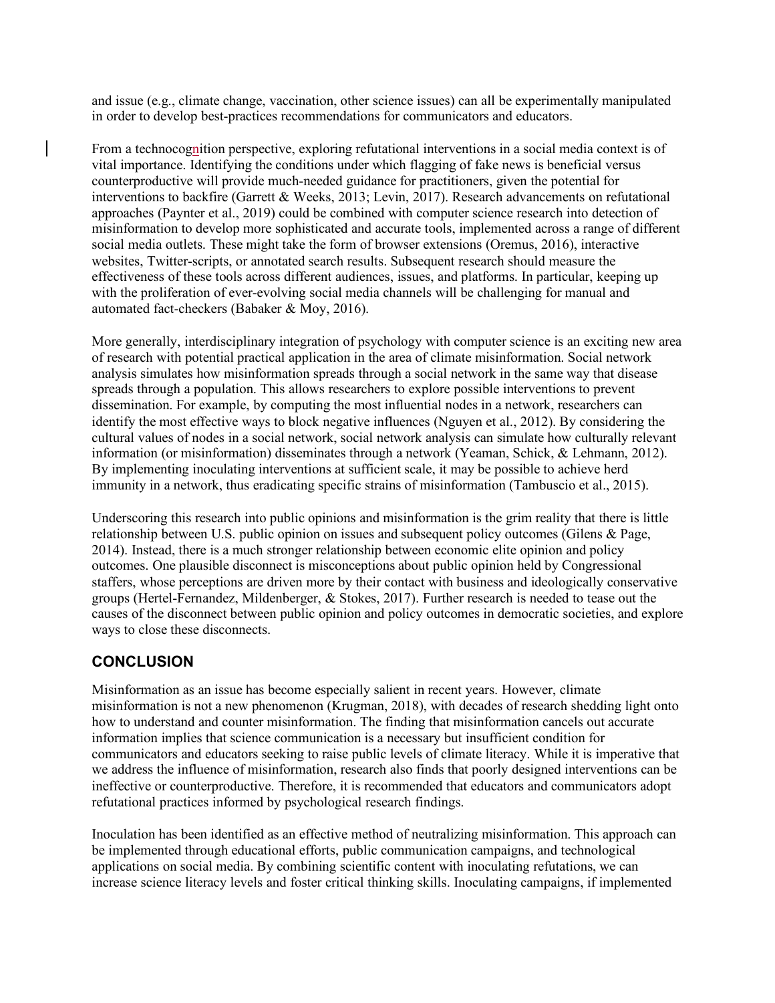and issue (e.g., climate change, vaccination, other science issues) can all be experimentally manipulated in order to develop best-practices recommendations for communicators and educators.

From a technocognition perspective, exploring refutational interventions in a social media context is of vital importance. Identifying the conditions under which flagging of fake news is beneficial versus counterproductive will provide much-needed guidance for practitioners, given the potential for interventions to backfire (Garrett & Weeks, 2013; Levin, 2017). Research advancements on refutational approaches (Paynter et al., 2019) could be combined with computer science research into detection of misinformation to develop more sophisticated and accurate tools, implemented across a range of different social media outlets. These might take the form of browser extensions (Oremus, 2016), interactive websites, Twitter-scripts, or annotated search results. Subsequent research should measure the effectiveness of these tools across different audiences, issues, and platforms. In particular, keeping up with the proliferation of ever-evolving social media channels will be challenging for manual and automated fact-checkers (Babaker & Moy, 2016).

More generally, interdisciplinary integration of psychology with computer science is an exciting new area of research with potential practical application in the area of climate misinformation. Social network analysis simulates how misinformation spreads through a social network in the same way that disease spreads through a population. This allows researchers to explore possible interventions to prevent dissemination. For example, by computing the most influential nodes in a network, researchers can identify the most effective ways to block negative influences (Nguyen et al., 2012). By considering the cultural values of nodes in a social network, social network analysis can simulate how culturally relevant information (or misinformation) disseminates through a network (Yeaman, Schick, & Lehmann, 2012). By implementing inoculating interventions at sufficient scale, it may be possible to achieve herd immunity in a network, thus eradicating specific strains of misinformation (Tambuscio et al., 2015).

Underscoring this research into public opinions and misinformation is the grim reality that there is little relationship between U.S. public opinion on issues and subsequent policy outcomes (Gilens & Page, 2014). Instead, there is a much stronger relationship between economic elite opinion and policy outcomes. One plausible disconnect is misconceptions about public opinion held by Congressional staffers, whose perceptions are driven more by their contact with business and ideologically conservative groups (Hertel-Fernandez, Mildenberger,  $&$  Stokes, 2017). Further research is needed to tease out the causes of the disconnect between public opinion and policy outcomes in democratic societies, and explore ways to close these disconnects.

## **CONCLUSION**

Misinformation as an issue has become especially salient in recent years. However, climate misinformation is not a new phenomenon (Krugman, 2018), with decades of research shedding light onto how to understand and counter misinformation. The finding that misinformation cancels out accurate information implies that science communication is a necessary but insufficient condition for communicators and educators seeking to raise public levels of climate literacy. While it is imperative that we address the influence of misinformation, research also finds that poorly designed interventions can be ineffective or counterproductive. Therefore, it is recommended that educators and communicators adopt refutational practices informed by psychological research findings.

Inoculation has been identified as an effective method of neutralizing misinformation. This approach can be implemented through educational efforts, public communication campaigns, and technological applications on social media. By combining scientific content with inoculating refutations, we can increase science literacy levels and foster critical thinking skills. Inoculating campaigns, if implemented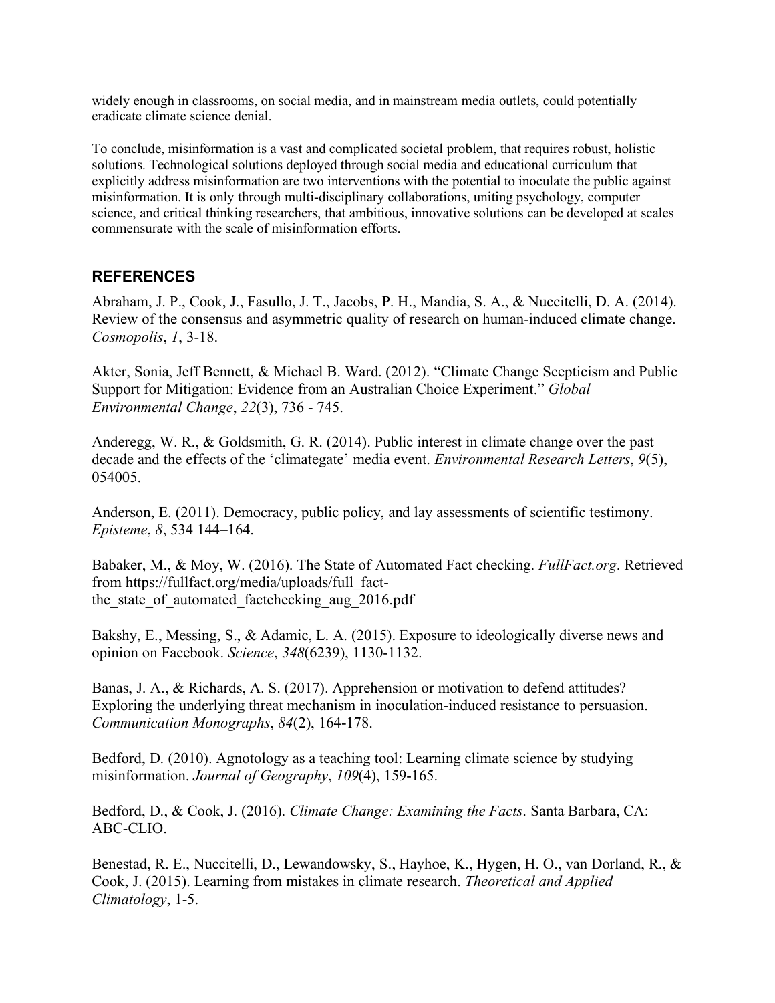widely enough in classrooms, on social media, and in mainstream media outlets, could potentially eradicate climate science denial.

To conclude, misinformation is a vast and complicated societal problem, that requires robust, holistic solutions. Technological solutions deployed through social media and educational curriculum that explicitly address misinformation are two interventions with the potential to inoculate the public against misinformation. It is only through multi-disciplinary collaborations, uniting psychology, computer science, and critical thinking researchers, that ambitious, innovative solutions can be developed at scales commensurate with the scale of misinformation efforts.

## **REFERENCES**

Abraham, J. P., Cook, J., Fasullo, J. T., Jacobs, P. H., Mandia, S. A., & Nuccitelli, D. A. (2014). Review of the consensus and asymmetric quality of research on human-induced climate change. *Cosmopolis*, *1*, 3-18.

Akter, Sonia, Jeff Bennett, & Michael B. Ward. (2012). "Climate Change Scepticism and Public Support for Mitigation: Evidence from an Australian Choice Experiment." *Global Environmental Change*, *22*(3), 736 - 745.

Anderegg, W. R., & Goldsmith, G. R. (2014). Public interest in climate change over the past decade and the effects of the 'climategate' media event. *Environmental Research Letters*, *9*(5), 054005.

Anderson, E. (2011). Democracy, public policy, and lay assessments of scientific testimony. *Episteme*, *8*, 534 144–164.

Babaker, M., & Moy, W. (2016). The State of Automated Fact checking. *FullFact.org*. Retrieved from https://fullfact.org/media/uploads/full\_factthe state of automated factchecking aug 2016.pdf

Bakshy, E., Messing, S., & Adamic, L. A. (2015). Exposure to ideologically diverse news and opinion on Facebook. *Science*, *348*(6239), 1130-1132.

Banas, J. A., & Richards, A. S. (2017). Apprehension or motivation to defend attitudes? Exploring the underlying threat mechanism in inoculation-induced resistance to persuasion. *Communication Monographs*, *84*(2), 164-178.

Bedford, D. (2010). Agnotology as a teaching tool: Learning climate science by studying misinformation. *Journal of Geography*, *109*(4), 159-165.

Bedford, D., & Cook, J. (2016). *Climate Change: Examining the Facts*. Santa Barbara, CA: ABC-CLIO.

Benestad, R. E., Nuccitelli, D., Lewandowsky, S., Hayhoe, K., Hygen, H. O., van Dorland, R., & Cook, J. (2015). Learning from mistakes in climate research. *Theoretical and Applied Climatology*, 1-5.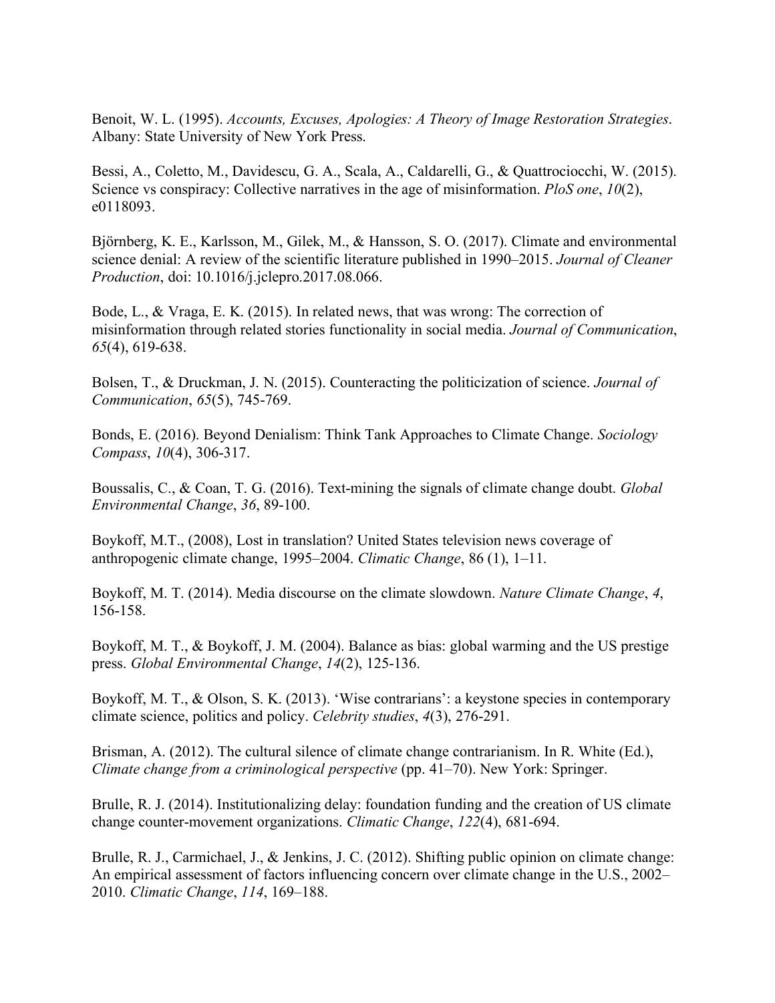Benoit, W. L. (1995). *Accounts, Excuses, Apologies: A Theory of Image Restoration Strategies*. Albany: State University of New York Press.

Bessi, A., Coletto, M., Davidescu, G. A., Scala, A., Caldarelli, G., & Quattrociocchi, W. (2015). Science vs conspiracy: Collective narratives in the age of misinformation. *PloS one*, *10*(2), e0118093.

Björnberg, K. E., Karlsson, M., Gilek, M., & Hansson, S. O. (2017). Climate and environmental science denial: A review of the scientific literature published in 1990–2015. *Journal of Cleaner Production*, doi: 10.1016/j.jclepro.2017.08.066.

Bode, L., & Vraga, E. K. (2015). In related news, that was wrong: The correction of misinformation through related stories functionality in social media. *Journal of Communication*, *65*(4), 619-638.

Bolsen, T., & Druckman, J. N. (2015). Counteracting the politicization of science. *Journal of Communication*, *65*(5), 745-769.

Bonds, E. (2016). Beyond Denialism: Think Tank Approaches to Climate Change. *Sociology Compass*, *10*(4), 306-317.

Boussalis, C., & Coan, T. G. (2016). Text-mining the signals of climate change doubt. *Global Environmental Change*, *36*, 89-100.

Boykoff, M.T., (2008), Lost in translation? United States television news coverage of anthropogenic climate change, 1995–2004. *Climatic Change*, 86 (1), 1–11.

Boykoff, M. T. (2014). Media discourse on the climate slowdown. *Nature Climate Change*, *4*, 156-158.

Boykoff, M. T., & Boykoff, J. M. (2004). Balance as bias: global warming and the US prestige press. *Global Environmental Change*, *14*(2), 125-136.

Boykoff, M. T., & Olson, S. K. (2013). 'Wise contrarians': a keystone species in contemporary climate science, politics and policy. *Celebrity studies*, *4*(3), 276-291.

Brisman, A. (2012). The cultural silence of climate change contrarianism. In R. White (Ed.), *Climate change from a criminological perspective* (pp. 41–70). New York: Springer.

Brulle, R. J. (2014). Institutionalizing delay: foundation funding and the creation of US climate change counter-movement organizations. *Climatic Change*, *122*(4), 681-694.

Brulle, R. J., Carmichael, J., & Jenkins, J. C. (2012). Shifting public opinion on climate change: An empirical assessment of factors influencing concern over climate change in the U.S., 2002– 2010. *Climatic Change*, *114*, 169–188.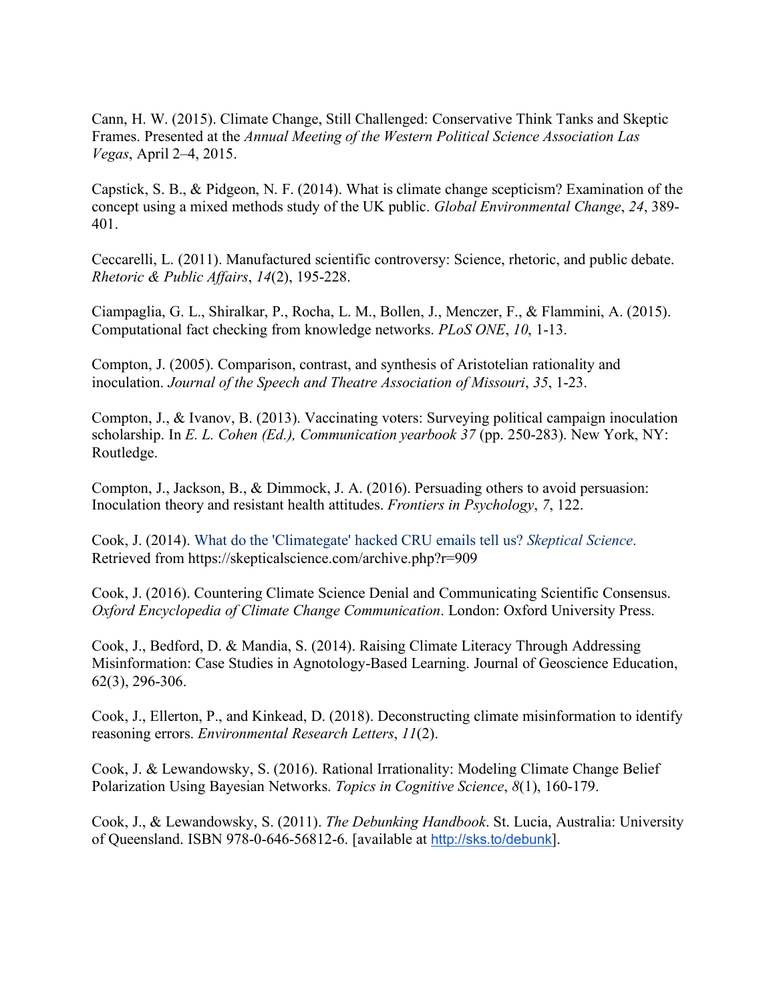Cann, H. W. (2015). Climate Change, Still Challenged: Conservative Think Tanks and Skeptic Frames. Presented at the *Annual Meeting of the Western Political Science Association Las Vegas*, April 2–4, 2015.

Capstick, S. B., & Pidgeon, N. F. (2014). What is climate change scepticism? Examination of the concept using a mixed methods study of the UK public. *Global Environmental Change*, *24*, 389- 401.

Ceccarelli, L. (2011). Manufactured scientific controversy: Science, rhetoric, and public debate. *Rhetoric & Public Affairs*, *14*(2), 195-228.

Ciampaglia, G. L., Shiralkar, P., Rocha, L. M., Bollen, J., Menczer, F., & Flammini, A. (2015). Computational fact checking from knowledge networks. *PLoS ONE*, *10*, 1-13.

Compton, J. (2005). Comparison, contrast, and synthesis of Aristotelian rationality and inoculation. *Journal of the Speech and Theatre Association of Missouri*, *35*, 1-23.

Compton, J., & Ivanov, B. (2013). Vaccinating voters: Surveying political campaign inoculation scholarship. In *E. L. Cohen (Ed.), Communication yearbook 37* (pp. 250-283). New York, NY: Routledge.

Compton, J., Jackson, B., & Dimmock, J. A. (2016). Persuading others to avoid persuasion: Inoculation theory and resistant health attitudes. *Frontiers in Psychology*, *7*, 122.

Cook, J. (2014). What do the 'Climategate' hacked CRU emails tell us? *Skeptical Science*. Retrieved from https://skepticalscience.com/archive.php?r=909

Cook, J. (2016). Countering Climate Science Denial and Communicating Scientific Consensus. *Oxford Encyclopedia of Climate Change Communication*. London: Oxford University Press.

Cook, J., Bedford, D. & Mandia, S. (2014). Raising Climate Literacy Through Addressing Misinformation: Case Studies in Agnotology-Based Learning. Journal of Geoscience Education, 62(3), 296-306.

Cook, J., Ellerton, P., and Kinkead, D. (2018). Deconstructing climate misinformation to identify reasoning errors. *Environmental Research Letters*, *11*(2).

Cook, J. & Lewandowsky, S. (2016). Rational Irrationality: Modeling Climate Change Belief Polarization Using Bayesian Networks. *Topics in Cognitive Science*, *8*(1), 160-179.

Cook, J., & Lewandowsky, S. (2011). *The Debunking Handbook*. St. Lucia, Australia: University of Queensland. ISBN 978-0-646-56812-6. [available at http://sks.to/debunk].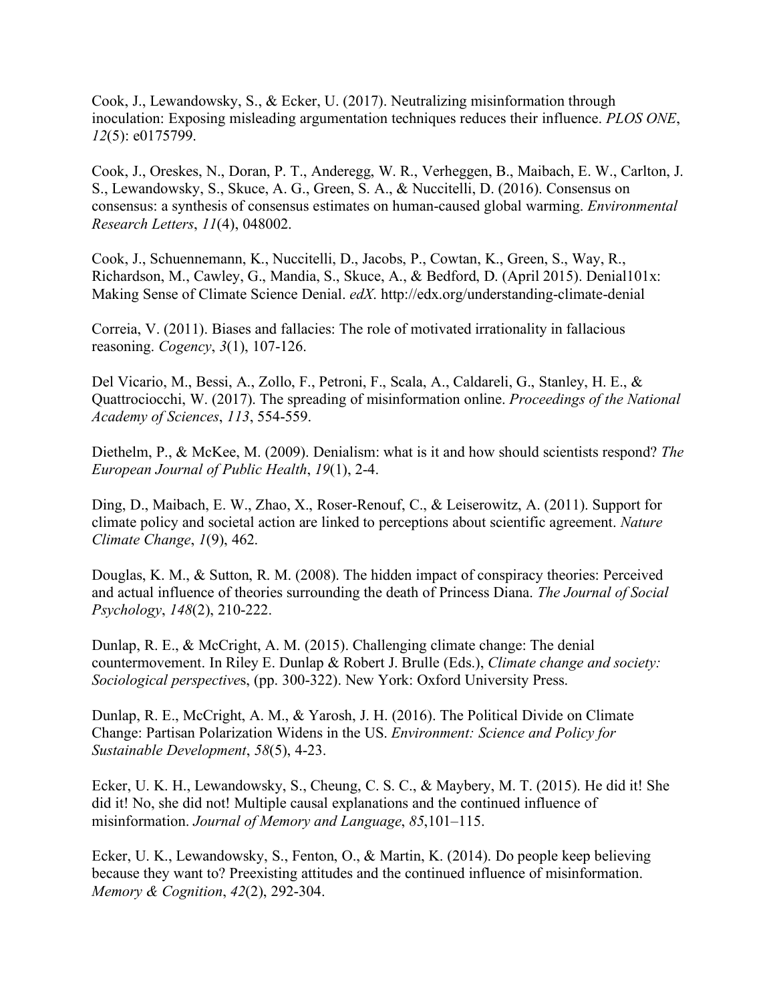Cook, J., Lewandowsky, S., & Ecker, U. (2017). Neutralizing misinformation through inoculation: Exposing misleading argumentation techniques reduces their influence. *PLOS ONE*, *12*(5): e0175799.

Cook, J., Oreskes, N., Doran, P. T., Anderegg, W. R., Verheggen, B., Maibach, E. W., Carlton, J. S., Lewandowsky, S., Skuce, A. G., Green, S. A., & Nuccitelli, D. (2016). Consensus on consensus: a synthesis of consensus estimates on human-caused global warming. *Environmental Research Letters*, *11*(4), 048002.

Cook, J., Schuennemann, K., Nuccitelli, D., Jacobs, P., Cowtan, K., Green, S., Way, R., Richardson, M., Cawley, G., Mandia, S., Skuce, A., & Bedford, D. (April 2015). Denial101x: Making Sense of Climate Science Denial. *edX*. http://edx.org/understanding-climate-denial

Correia, V. (2011). Biases and fallacies: The role of motivated irrationality in fallacious reasoning. *Cogency*, *3*(1), 107-126.

Del Vicario, M., Bessi, A., Zollo, F., Petroni, F., Scala, A., Caldareli, G., Stanley, H. E., & Quattrociocchi, W. (2017). The spreading of misinformation online. *Proceedings of the National Academy of Sciences*, *113*, 554-559.

Diethelm, P., & McKee, M. (2009). Denialism: what is it and how should scientists respond? *The European Journal of Public Health*, *19*(1), 2-4.

Ding, D., Maibach, E. W., Zhao, X., Roser-Renouf, C., & Leiserowitz, A. (2011). Support for climate policy and societal action are linked to perceptions about scientific agreement. *Nature Climate Change*, *1*(9), 462.

Douglas, K. M., & Sutton, R. M. (2008). The hidden impact of conspiracy theories: Perceived and actual influence of theories surrounding the death of Princess Diana. *The Journal of Social Psychology*, *148*(2), 210-222.

Dunlap, R. E., & McCright, A. M. (2015). Challenging climate change: The denial countermovement. In Riley E. Dunlap & Robert J. Brulle (Eds.), *Climate change and society: Sociological perspective*s, (pp. 300-322). New York: Oxford University Press.

Dunlap, R. E., McCright, A. M., & Yarosh, J. H. (2016). The Political Divide on Climate Change: Partisan Polarization Widens in the US. *Environment: Science and Policy for Sustainable Development*, *58*(5), 4-23.

Ecker, U. K. H., Lewandowsky, S., Cheung, C. S. C., & Maybery, M. T. (2015). He did it! She did it! No, she did not! Multiple causal explanations and the continued influence of misinformation. *Journal of Memory and Language*, *85*,101–115.

Ecker, U. K., Lewandowsky, S., Fenton, O., & Martin, K. (2014). Do people keep believing because they want to? Preexisting attitudes and the continued influence of misinformation. *Memory & Cognition*, *42*(2), 292-304.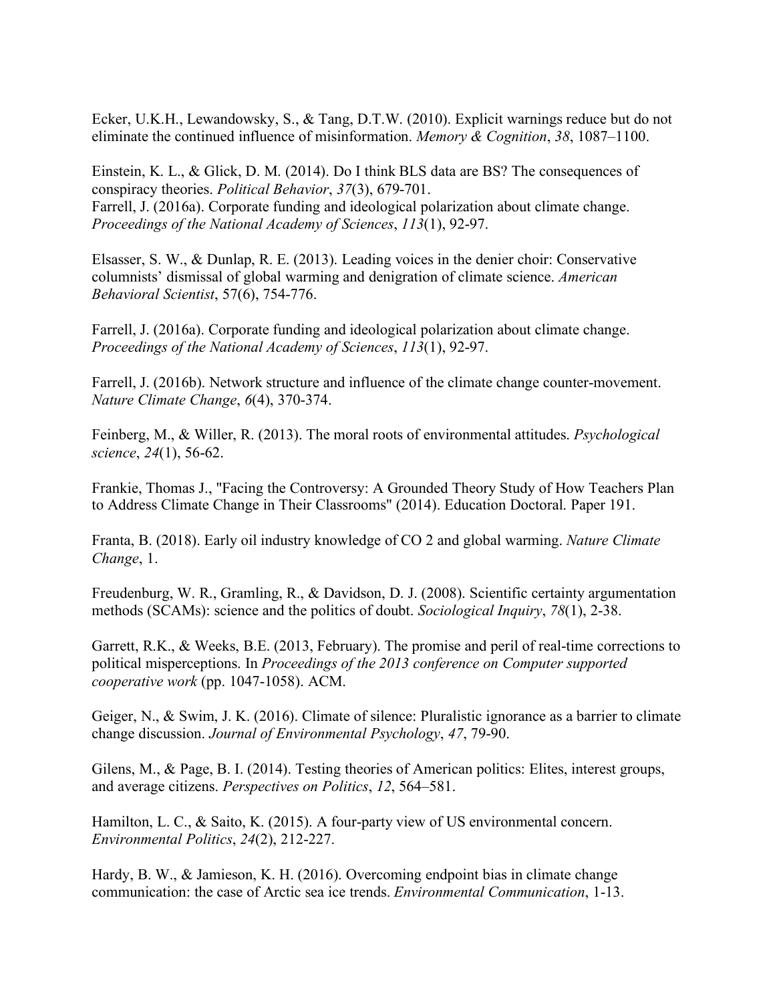Ecker, U.K.H., Lewandowsky, S., & Tang, D.T.W. (2010). Explicit warnings reduce but do not eliminate the continued influence of misinformation. *Memory & Cognition*, *38*, 1087–1100.

Einstein, K. L., & Glick, D. M. (2014). Do I think BLS data are BS? The consequences of conspiracy theories. *Political Behavior*, *37*(3), 679-701. Farrell, J. (2016a). Corporate funding and ideological polarization about climate change. *Proceedings of the National Academy of Sciences*, *113*(1), 92-97.

Elsasser, S. W., & Dunlap, R. E. (2013). Leading voices in the denier choir: Conservative columnists' dismissal of global warming and denigration of climate science. *American Behavioral Scientist*, 57(6), 754-776.

Farrell, J. (2016a). Corporate funding and ideological polarization about climate change. *Proceedings of the National Academy of Sciences*, *113*(1), 92-97.

Farrell, J. (2016b). Network structure and influence of the climate change counter-movement. *Nature Climate Change*, *6*(4), 370-374.

Feinberg, M., & Willer, R. (2013). The moral roots of environmental attitudes. *Psychological science*, *24*(1), 56-62.

Frankie, Thomas J., "Facing the Controversy: A Grounded Theory Study of How Teachers Plan to Address Climate Change in Their Classrooms" (2014). Education Doctoral. Paper 191.

Franta, B. (2018). Early oil industry knowledge of CO 2 and global warming. *Nature Climate Change*, 1.

Freudenburg, W. R., Gramling, R., & Davidson, D. J. (2008). Scientific certainty argumentation methods (SCAMs): science and the politics of doubt. *Sociological Inquiry*, *78*(1), 2-38.

Garrett, R.K., & Weeks, B.E. (2013, February). The promise and peril of real-time corrections to political misperceptions. In *Proceedings of the 2013 conference on Computer supported cooperative work* (pp. 1047-1058). ACM.

Geiger, N., & Swim, J. K. (2016). Climate of silence: Pluralistic ignorance as a barrier to climate change discussion. *Journal of Environmental Psychology*, *47*, 79-90.

Gilens, M., & Page, B. I. (2014). Testing theories of American politics: Elites, interest groups, and average citizens. *Perspectives on Politics*, *12*, 564–581.

Hamilton, L. C., & Saito, K. (2015). A four-party view of US environmental concern. *Environmental Politics*, *24*(2), 212-227.

Hardy, B. W., & Jamieson, K. H. (2016). Overcoming endpoint bias in climate change communication: the case of Arctic sea ice trends. *Environmental Communication*, 1-13.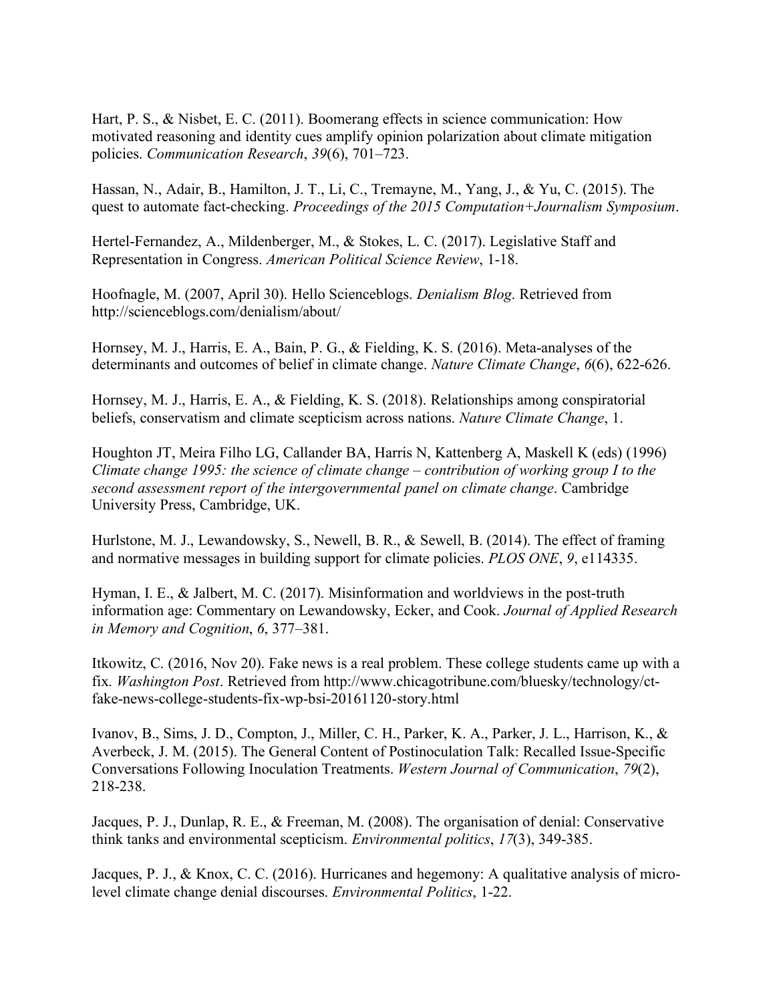Hart, P. S., & Nisbet, E. C. (2011). Boomerang effects in science communication: How motivated reasoning and identity cues amplify opinion polarization about climate mitigation policies. *Communication Research*, *39*(6), 701–723.

Hassan, N., Adair, B., Hamilton, J. T., Li, C., Tremayne, M., Yang, J., & Yu, C. (2015). The quest to automate fact-checking. *Proceedings of the 2015 Computation+Journalism Symposium*.

Hertel-Fernandez, A., Mildenberger, M., & Stokes, L. C. (2017). Legislative Staff and Representation in Congress. *American Political Science Review*, 1-18.

Hoofnagle, M. (2007, April 30). Hello Scienceblogs. *Denialism Blog*. Retrieved from http://scienceblogs.com/denialism/about/

Hornsey, M. J., Harris, E. A., Bain, P. G., & Fielding, K. S. (2016). Meta-analyses of the determinants and outcomes of belief in climate change. *Nature Climate Change*, *6*(6), 622-626.

Hornsey, M. J., Harris, E. A., & Fielding, K. S. (2018). Relationships among conspiratorial beliefs, conservatism and climate scepticism across nations. *Nature Climate Change*, 1.

Houghton JT, Meira Filho LG, Callander BA, Harris N, Kattenberg A, Maskell K (eds) (1996) *Climate change 1995: the science of climate change – contribution of working group I to the second assessment report of the intergovernmental panel on climate change*. Cambridge University Press, Cambridge, UK.

Hurlstone, M. J., Lewandowsky, S., Newell, B. R., & Sewell, B. (2014). The effect of framing and normative messages in building support for climate policies. *PLOS ONE*, *9*, e114335.

Hyman, I. E., & Jalbert, M. C. (2017). Misinformation and worldviews in the post-truth information age: Commentary on Lewandowsky, Ecker, and Cook. *Journal of Applied Research in Memory and Cognition*, *6*, 377–381.

Itkowitz, C. (2016, Nov 20). Fake news is a real problem. These college students came up with a fix. *Washington Post*. Retrieved from http://www.chicagotribune.com/bluesky/technology/ctfake-news-college-students-fix-wp-bsi-20161120-story.html

Ivanov, B., Sims, J. D., Compton, J., Miller, C. H., Parker, K. A., Parker, J. L., Harrison, K., & Averbeck, J. M. (2015). The General Content of Postinoculation Talk: Recalled Issue-Specific Conversations Following Inoculation Treatments. *Western Journal of Communication*, *79*(2), 218-238.

Jacques, P. J., Dunlap, R. E., & Freeman, M. (2008). The organisation of denial: Conservative think tanks and environmental scepticism. *Environmental politics*, *17*(3), 349-385.

Jacques, P. J., & Knox, C. C. (2016). Hurricanes and hegemony: A qualitative analysis of microlevel climate change denial discourses. *Environmental Politics*, 1-22.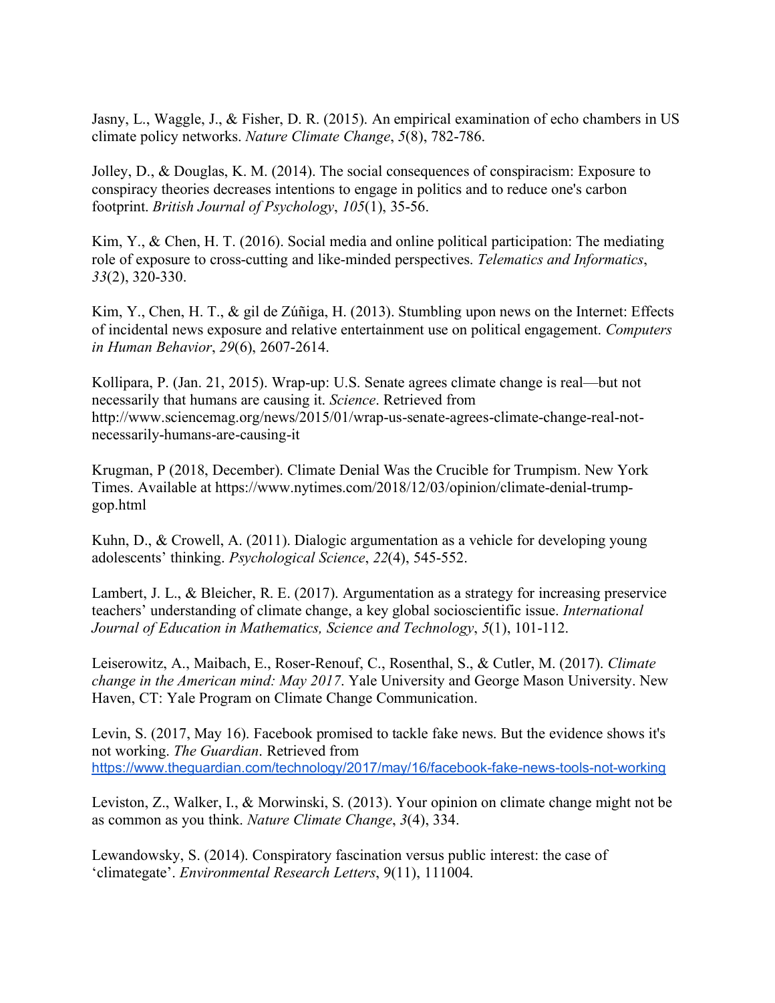Jasny, L., Waggle, J., & Fisher, D. R. (2015). An empirical examination of echo chambers in US climate policy networks. *Nature Climate Change*, *5*(8), 782-786.

Jolley, D., & Douglas, K. M. (2014). The social consequences of conspiracism: Exposure to conspiracy theories decreases intentions to engage in politics and to reduce one's carbon footprint. *British Journal of Psychology*, *105*(1), 35-56.

Kim, Y., & Chen, H. T. (2016). Social media and online political participation: The mediating role of exposure to cross-cutting and like-minded perspectives. *Telematics and Informatics*, *33*(2), 320-330.

Kim, Y., Chen, H. T., & gil de Zúñiga, H. (2013). Stumbling upon news on the Internet: Effects of incidental news exposure and relative entertainment use on political engagement. *Computers in Human Behavior*, *29*(6), 2607-2614.

Kollipara, P. (Jan. 21, 2015). Wrap-up: U.S. Senate agrees climate change is real—but not necessarily that humans are causing it. *Science*. Retrieved from http://www.sciencemag.org/news/2015/01/wrap-us-senate-agrees-climate-change-real-notnecessarily-humans-are-causing-it

Krugman, P (2018, December). Climate Denial Was the Crucible for Trumpism. New York Times. Available at https://www.nytimes.com/2018/12/03/opinion/climate-denial-trumpgop.html

Kuhn, D., & Crowell, A. (2011). Dialogic argumentation as a vehicle for developing young adolescents' thinking. *Psychological Science*, *22*(4), 545-552.

Lambert, J. L., & Bleicher, R. E. (2017). Argumentation as a strategy for increasing preservice teachers' understanding of climate change, a key global socioscientific issue. *International Journal of Education in Mathematics, Science and Technology*, *5*(1), 101-112.

Leiserowitz, A., Maibach, E., Roser-Renouf, C., Rosenthal, S., & Cutler, M. (2017). *Climate change in the American mind: May 2017*. Yale University and George Mason University. New Haven, CT: Yale Program on Climate Change Communication.

Levin, S. (2017, May 16). Facebook promised to tackle fake news. But the evidence shows it's not working. *The Guardian*. Retrieved from https://www.theguardian.com/technology/2017/may/16/facebook-fake-news-tools-not-working

Leviston, Z., Walker, I., & Morwinski, S. (2013). Your opinion on climate change might not be as common as you think. *Nature Climate Change*, *3*(4), 334.

Lewandowsky, S. (2014). Conspiratory fascination versus public interest: the case of 'climategate'. *Environmental Research Letters*, 9(11), 111004.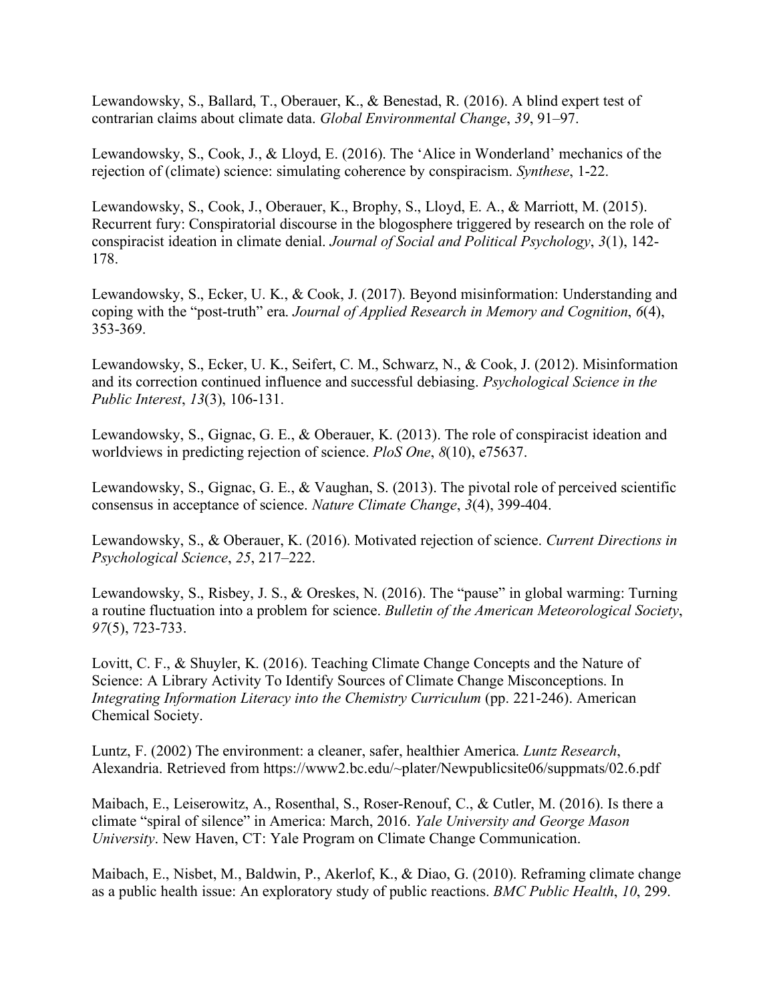Lewandowsky, S., Ballard, T., Oberauer, K., & Benestad, R. (2016). A blind expert test of contrarian claims about climate data. *Global Environmental Change*, *39*, 91–97.

Lewandowsky, S., Cook, J., & Lloyd, E. (2016). The 'Alice in Wonderland' mechanics of the rejection of (climate) science: simulating coherence by conspiracism. *Synthese*, 1-22.

Lewandowsky, S., Cook, J., Oberauer, K., Brophy, S., Lloyd, E. A., & Marriott, M. (2015). Recurrent fury: Conspiratorial discourse in the blogosphere triggered by research on the role of conspiracist ideation in climate denial. *Journal of Social and Political Psychology*, *3*(1), 142- 178.

Lewandowsky, S., Ecker, U. K., & Cook, J. (2017). Beyond misinformation: Understanding and coping with the "post-truth" era. *Journal of Applied Research in Memory and Cognition*, *6*(4), 353-369.

Lewandowsky, S., Ecker, U. K., Seifert, C. M., Schwarz, N., & Cook, J. (2012). Misinformation and its correction continued influence and successful debiasing. *Psychological Science in the Public Interest*, *13*(3), 106-131.

Lewandowsky, S., Gignac, G. E., & Oberauer, K. (2013). The role of conspiracist ideation and worldviews in predicting rejection of science. *PloS One*, *8*(10), e75637.

Lewandowsky, S., Gignac, G. E., & Vaughan, S. (2013). The pivotal role of perceived scientific consensus in acceptance of science. *Nature Climate Change*, *3*(4), 399-404.

Lewandowsky, S., & Oberauer, K. (2016). Motivated rejection of science. *Current Directions in Psychological Science*, *25*, 217–222.

Lewandowsky, S., Risbey, J. S., & Oreskes, N. (2016). The "pause" in global warming: Turning a routine fluctuation into a problem for science. *Bulletin of the American Meteorological Society*, *97*(5), 723-733.

Lovitt, C. F., & Shuyler, K. (2016). Teaching Climate Change Concepts and the Nature of Science: A Library Activity To Identify Sources of Climate Change Misconceptions. In *Integrating Information Literacy into the Chemistry Curriculum (pp. 221-246). American* Chemical Society.

Luntz, F. (2002) The environment: a cleaner, safer, healthier America. *Luntz Research*, Alexandria. Retrieved from https://www2.bc.edu/~plater/Newpublicsite06/suppmats/02.6.pdf

Maibach, E., Leiserowitz, A., Rosenthal, S., Roser-Renouf, C., & Cutler, M. (2016). Is there a climate "spiral of silence" in America: March, 2016. *Yale University and George Mason University*. New Haven, CT: Yale Program on Climate Change Communication.

Maibach, E., Nisbet, M., Baldwin, P., Akerlof, K., & Diao, G. (2010). Reframing climate change as a public health issue: An exploratory study of public reactions. *BMC Public Health*, *10*, 299.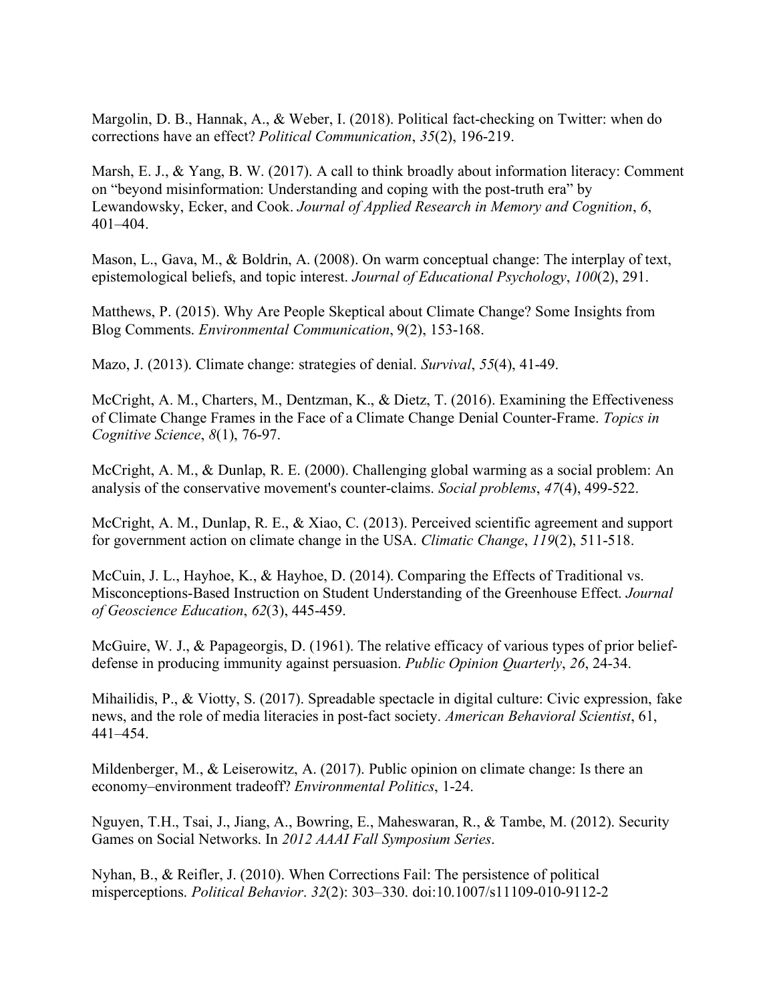Margolin, D. B., Hannak, A., & Weber, I. (2018). Political fact-checking on Twitter: when do corrections have an effect? *Political Communication*, *35*(2), 196-219.

Marsh, E. J., & Yang, B. W. (2017). A call to think broadly about information literacy: Comment on "beyond misinformation: Understanding and coping with the post-truth era" by Lewandowsky, Ecker, and Cook. *Journal of Applied Research in Memory and Cognition*, *6*, 401–404.

Mason, L., Gava, M., & Boldrin, A. (2008). On warm conceptual change: The interplay of text, epistemological beliefs, and topic interest. *Journal of Educational Psychology*, *100*(2), 291.

Matthews, P. (2015). Why Are People Skeptical about Climate Change? Some Insights from Blog Comments. *Environmental Communication*, 9(2), 153-168.

Mazo, J. (2013). Climate change: strategies of denial. *Survival*, *55*(4), 41-49.

McCright, A. M., Charters, M., Dentzman, K., & Dietz, T. (2016). Examining the Effectiveness of Climate Change Frames in the Face of a Climate Change Denial Counter-Frame. *Topics in Cognitive Science*, *8*(1), 76-97.

McCright, A. M., & Dunlap, R. E. (2000). Challenging global warming as a social problem: An analysis of the conservative movement's counter-claims. *Social problems*, *47*(4), 499-522.

McCright, A. M., Dunlap, R. E., & Xiao, C. (2013). Perceived scientific agreement and support for government action on climate change in the USA. *Climatic Change*, *119*(2), 511-518.

McCuin, J. L., Hayhoe, K., & Hayhoe, D. (2014). Comparing the Effects of Traditional vs. Misconceptions-Based Instruction on Student Understanding of the Greenhouse Effect. *Journal of Geoscience Education*, *62*(3), 445-459.

McGuire, W. J., & Papageorgis, D. (1961). The relative efficacy of various types of prior beliefdefense in producing immunity against persuasion. *Public Opinion Quarterly*, *26*, 24-34.

Mihailidis, P., & Viotty, S. (2017). Spreadable spectacle in digital culture: Civic expression, fake news, and the role of media literacies in post-fact society. *American Behavioral Scientist*, 61, 441–454.

Mildenberger, M., & Leiserowitz, A. (2017). Public opinion on climate change: Is there an economy–environment tradeoff? *Environmental Politics*, 1-24.

Nguyen, T.H., Tsai, J., Jiang, A., Bowring, E., Maheswaran, R., & Tambe, M. (2012). Security Games on Social Networks. In *2012 AAAI Fall Symposium Series*.

Nyhan, B., & Reifler, J. (2010). When Corrections Fail: The persistence of political misperceptions. *Political Behavior*. *32*(2): 303–330. doi:10.1007/s11109-010-9112-2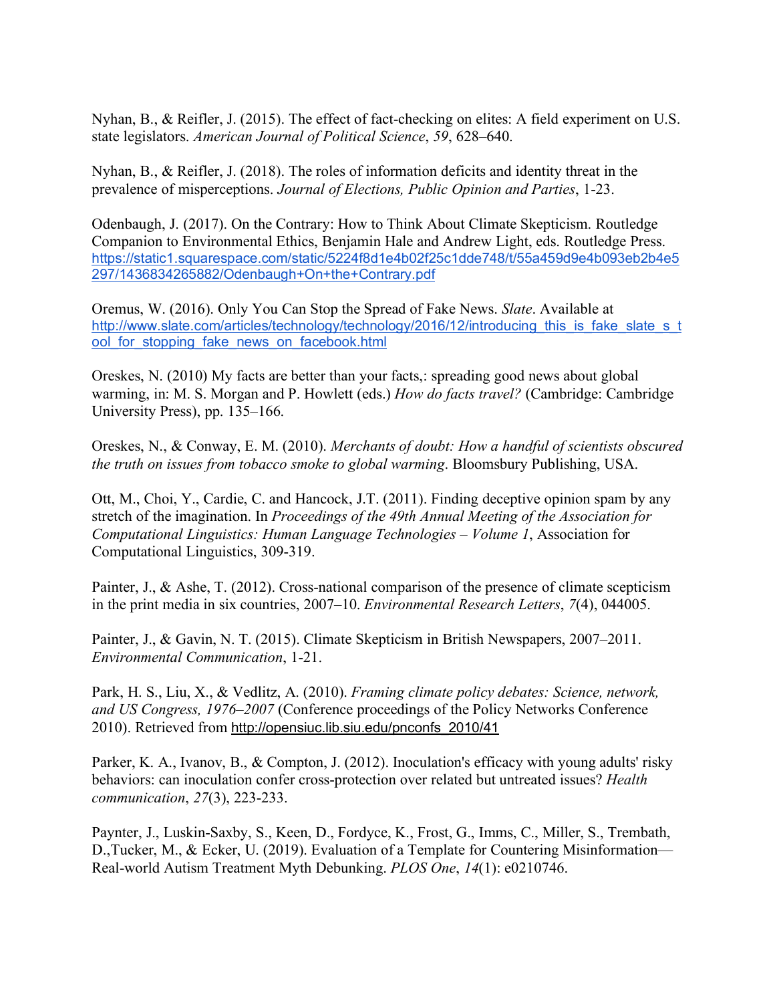Nyhan, B., & Reifler, J. (2015). The effect of fact-checking on elites: A field experiment on U.S. state legislators. *American Journal of Political Science*, *59*, 628–640.

Nyhan, B., & Reifler, J. (2018). The roles of information deficits and identity threat in the prevalence of misperceptions. *Journal of Elections, Public Opinion and Parties*, 1-23.

Odenbaugh, J. (2017). On the Contrary: How to Think About Climate Skepticism. Routledge Companion to Environmental Ethics, Benjamin Hale and Andrew Light, eds. Routledge Press. https://static1.squarespace.com/static/5224f8d1e4b02f25c1dde748/t/55a459d9e4b093eb2b4e5 297/1436834265882/Odenbaugh+On+the+Contrary.pdf

Oremus, W. (2016). Only You Can Stop the Spread of Fake News. *Slate*. Available at http://www.slate.com/articles/technology/technology/2016/12/introducing this is fake slate s\_t ool for stopping fake news on facebook.html

Oreskes, N. (2010) My facts are better than your facts,: spreading good news about global warming, in: M. S. Morgan and P. Howlett (eds.) *How do facts travel?* (Cambridge: Cambridge University Press), pp. 135–166.

Oreskes, N., & Conway, E. M. (2010). *Merchants of doubt: How a handful of scientists obscured the truth on issues from tobacco smoke to global warming*. Bloomsbury Publishing, USA.

Ott, M., Choi, Y., Cardie, C. and Hancock, J.T. (2011). Finding deceptive opinion spam by any stretch of the imagination. In *Proceedings of the 49th Annual Meeting of the Association for Computational Linguistics: Human Language Technologies – Volume 1*, Association for Computational Linguistics, 309-319.

Painter, J., & Ashe, T. (2012). Cross-national comparison of the presence of climate scepticism in the print media in six countries, 2007–10. *Environmental Research Letters*, *7*(4), 044005.

Painter, J., & Gavin, N. T. (2015). Climate Skepticism in British Newspapers, 2007–2011. *Environmental Communication*, 1-21.

Park, H. S., Liu, X., & Vedlitz, A. (2010). *Framing climate policy debates: Science, network, and US Congress, 1976–2007* (Conference proceedings of the Policy Networks Conference 2010). Retrieved from http://opensiuc.lib.siu.edu/pnconfs\_2010/41

Parker, K. A., Ivanov, B., & Compton, J. (2012). Inoculation's efficacy with young adults' risky behaviors: can inoculation confer cross-protection over related but untreated issues? *Health communication*, *27*(3), 223-233.

Paynter, J., Luskin-Saxby, S., Keen, D., Fordyce, K., Frost, G., Imms, C., Miller, S., Trembath, D.,Tucker, M., & Ecker, U. (2019). Evaluation of a Template for Countering Misinformation— Real-world Autism Treatment Myth Debunking. *PLOS One*, *14*(1): e0210746.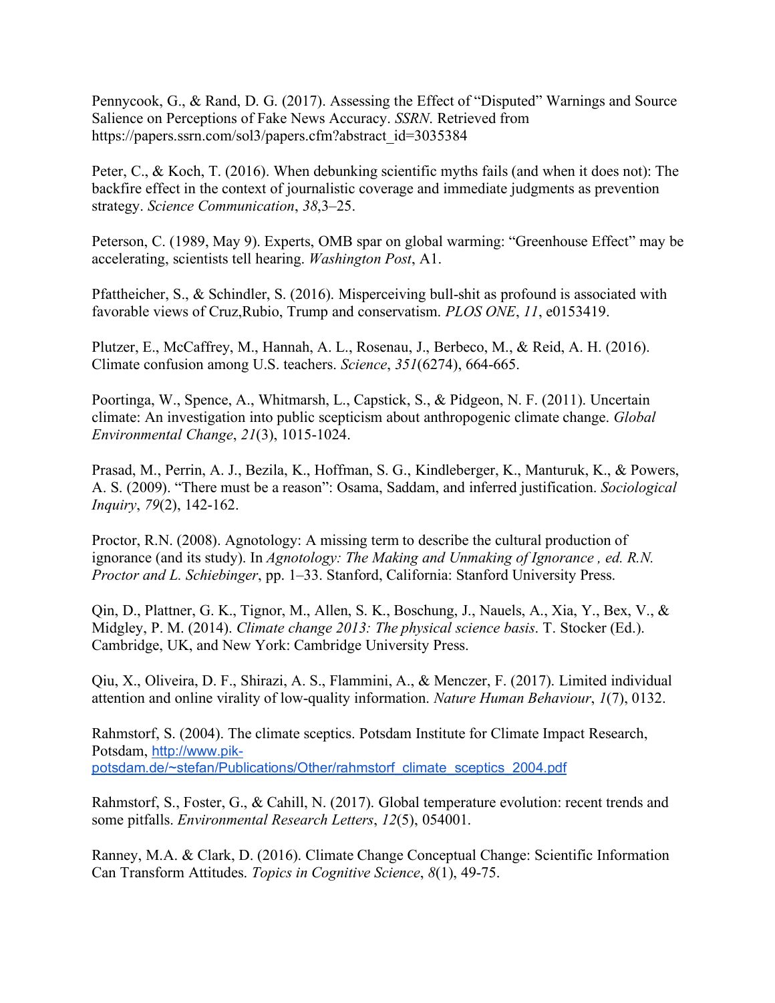Pennycook, G., & Rand, D. G. (2017). Assessing the Effect of "Disputed" Warnings and Source Salience on Perceptions of Fake News Accuracy. *SSRN*. Retrieved from https://papers.ssrn.com/sol3/papers.cfm?abstract\_id=3035384

Peter, C., & Koch, T. (2016). When debunking scientific myths fails (and when it does not): The backfire effect in the context of journalistic coverage and immediate judgments as prevention strategy. *Science Communication*, *38*,3–25.

Peterson, C. (1989, May 9). Experts, OMB spar on global warming: "Greenhouse Effect" may be accelerating, scientists tell hearing. *Washington Post*, A1.

Pfattheicher, S., & Schindler, S. (2016). Misperceiving bull-shit as profound is associated with favorable views of Cruz,Rubio, Trump and conservatism. *PLOS ONE*, *11*, e0153419.

Plutzer, E., McCaffrey, M., Hannah, A. L., Rosenau, J., Berbeco, M., & Reid, A. H. (2016). Climate confusion among U.S. teachers. *Science*, *351*(6274), 664-665.

Poortinga, W., Spence, A., Whitmarsh, L., Capstick, S., & Pidgeon, N. F. (2011). Uncertain climate: An investigation into public scepticism about anthropogenic climate change. *Global Environmental Change*, *21*(3), 1015-1024.

Prasad, M., Perrin, A. J., Bezila, K., Hoffman, S. G., Kindleberger, K., Manturuk, K., & Powers, A. S. (2009). "There must be a reason": Osama, Saddam, and inferred justification. *Sociological Inquiry*, *79*(2), 142-162.

Proctor, R.N. (2008). Agnotology: A missing term to describe the cultural production of ignorance (and its study). In *Agnotology: The Making and Unmaking of Ignorance , ed. R.N. Proctor and L. Schiebinger*, pp. 1–33. Stanford, California: Stanford University Press.

Qin, D., Plattner, G. K., Tignor, M., Allen, S. K., Boschung, J., Nauels, A., Xia, Y., Bex, V., & Midgley, P. M. (2014). *Climate change 2013: The physical science basis*. T. Stocker (Ed.). Cambridge, UK, and New York: Cambridge University Press.

Qiu, X., Oliveira, D. F., Shirazi, A. S., Flammini, A., & Menczer, F. (2017). Limited individual attention and online virality of low-quality information. *Nature Human Behaviour*, *1*(7), 0132.

Rahmstorf, S. (2004). The climate sceptics. Potsdam Institute for Climate Impact Research, Potsdam, http://www.pikpotsdam.de/~stefan/Publications/Other/rahmstorf\_climate\_sceptics\_2004.pdf

Rahmstorf, S., Foster, G., & Cahill, N. (2017). Global temperature evolution: recent trends and some pitfalls. *Environmental Research Letters*, *12*(5), 054001.

Ranney, M.A. & Clark, D. (2016). Climate Change Conceptual Change: Scientific Information Can Transform Attitudes. *Topics in Cognitive Science*, *8*(1), 49-75.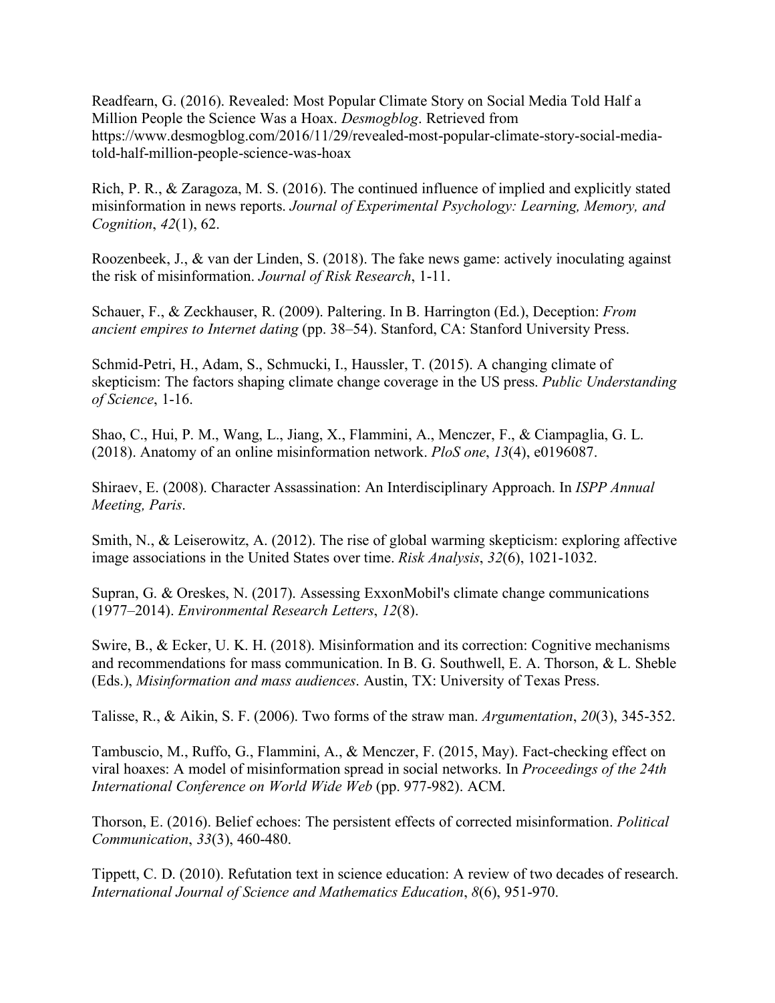Readfearn, G. (2016). Revealed: Most Popular Climate Story on Social Media Told Half a Million People the Science Was a Hoax. *Desmogblog*. Retrieved from https://www.desmogblog.com/2016/11/29/revealed-most-popular-climate-story-social-mediatold-half-million-people-science-was-hoax

Rich, P. R., & Zaragoza, M. S. (2016). The continued influence of implied and explicitly stated misinformation in news reports. *Journal of Experimental Psychology: Learning, Memory, and Cognition*, *42*(1), 62.

Roozenbeek, J., & van der Linden, S. (2018). The fake news game: actively inoculating against the risk of misinformation. *Journal of Risk Research*, 1-11.

Schauer, F., & Zeckhauser, R. (2009). Paltering. In B. Harrington (Ed.), Deception: *From ancient empires to Internet dating* (pp. 38–54). Stanford, CA: Stanford University Press.

Schmid-Petri, H., Adam, S., Schmucki, I., Haussler, T. (2015). A changing climate of skepticism: The factors shaping climate change coverage in the US press. *Public Understanding of Science*, 1-16.

Shao, C., Hui, P. M., Wang, L., Jiang, X., Flammini, A., Menczer, F., & Ciampaglia, G. L. (2018). Anatomy of an online misinformation network. *PloS one*, *13*(4), e0196087.

Shiraev, E. (2008). Character Assassination: An Interdisciplinary Approach. In *ISPP Annual Meeting, Paris*.

Smith, N., & Leiserowitz, A. (2012). The rise of global warming skepticism: exploring affective image associations in the United States over time. *Risk Analysis*, *32*(6), 1021-1032.

Supran, G. & Oreskes, N. (2017). Assessing ExxonMobil's climate change communications (1977–2014). *Environmental Research Letters*, *12*(8).

Swire, B., & Ecker, U. K. H. (2018). Misinformation and its correction: Cognitive mechanisms and recommendations for mass communication. In B. G. Southwell, E. A. Thorson, & L. Sheble (Eds.), *Misinformation and mass audiences*. Austin, TX: University of Texas Press.

Talisse, R., & Aikin, S. F. (2006). Two forms of the straw man. *Argumentation*, *20*(3), 345-352.

Tambuscio, M., Ruffo, G., Flammini, A., & Menczer, F. (2015, May). Fact-checking effect on viral hoaxes: A model of misinformation spread in social networks. In *Proceedings of the 24th International Conference on World Wide Web* (pp. 977-982). ACM.

Thorson, E. (2016). Belief echoes: The persistent effects of corrected misinformation. *Political Communication*, *33*(3), 460-480.

Tippett, C. D. (2010). Refutation text in science education: A review of two decades of research. *International Journal of Science and Mathematics Education*, *8*(6), 951-970.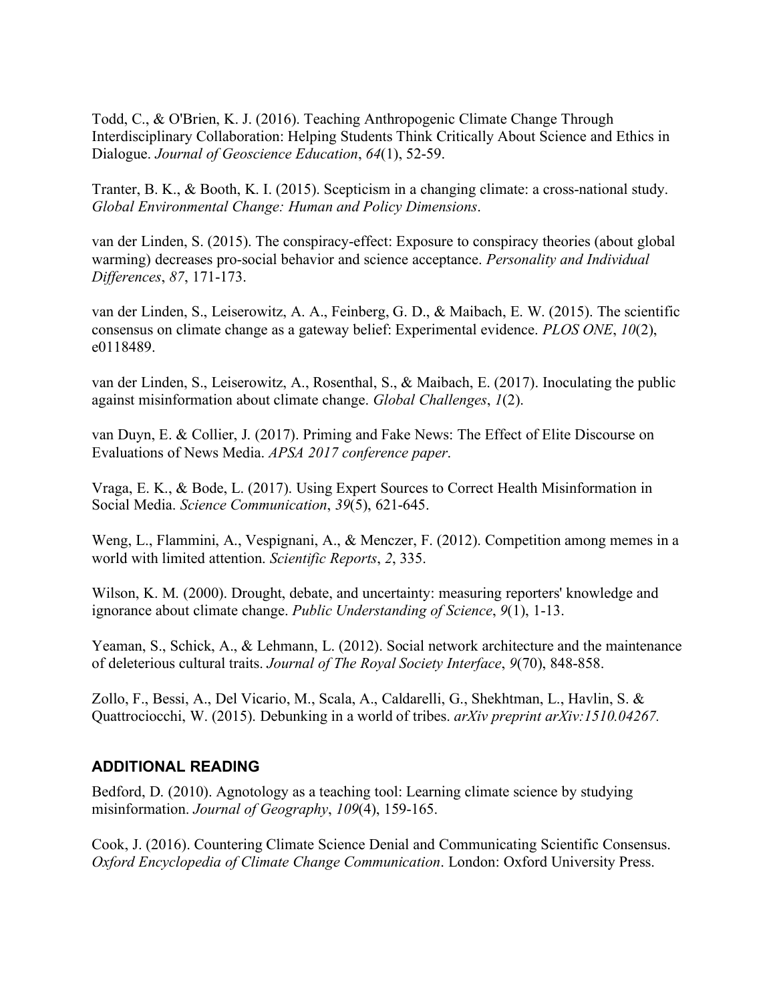Todd, C., & O'Brien, K. J. (2016). Teaching Anthropogenic Climate Change Through Interdisciplinary Collaboration: Helping Students Think Critically About Science and Ethics in Dialogue. *Journal of Geoscience Education*, *64*(1), 52-59.

Tranter, B. K., & Booth, K. I. (2015). Scepticism in a changing climate: a cross-national study. *Global Environmental Change: Human and Policy Dimensions*.

van der Linden, S. (2015). The conspiracy-effect: Exposure to conspiracy theories (about global warming) decreases pro-social behavior and science acceptance. *Personality and Individual Differences*, *87*, 171-173.

van der Linden, S., Leiserowitz, A. A., Feinberg, G. D., & Maibach, E. W. (2015). The scientific consensus on climate change as a gateway belief: Experimental evidence. *PLOS ONE*, *10*(2), e0118489.

van der Linden, S., Leiserowitz, A., Rosenthal, S., & Maibach, E. (2017). Inoculating the public against misinformation about climate change. *Global Challenges*, *1*(2).

van Duyn, E. & Collier, J. (2017). Priming and Fake News: The Effect of Elite Discourse on Evaluations of News Media. *APSA 2017 conference paper*.

Vraga, E. K., & Bode, L. (2017). Using Expert Sources to Correct Health Misinformation in Social Media. *Science Communication*, *39*(5), 621-645.

Weng, L., Flammini, A., Vespignani, A., & Menczer, F. (2012). Competition among memes in a world with limited attention. *Scientific Reports*, *2*, 335.

Wilson, K. M. (2000). Drought, debate, and uncertainty: measuring reporters' knowledge and ignorance about climate change. *Public Understanding of Science*, *9*(1), 1-13.

Yeaman, S., Schick, A., & Lehmann, L. (2012). Social network architecture and the maintenance of deleterious cultural traits. *Journal of The Royal Society Interface*, *9*(70), 848-858.

Zollo, F., Bessi, A., Del Vicario, M., Scala, A., Caldarelli, G., Shekhtman, L., Havlin, S. & Quattrociocchi, W. (2015). Debunking in a world of tribes. *arXiv preprint arXiv:1510.04267.*

# **ADDITIONAL READING**

Bedford, D. (2010). Agnotology as a teaching tool: Learning climate science by studying misinformation. *Journal of Geography*, *109*(4), 159-165.

Cook, J. (2016). Countering Climate Science Denial and Communicating Scientific Consensus. *Oxford Encyclopedia of Climate Change Communication*. London: Oxford University Press.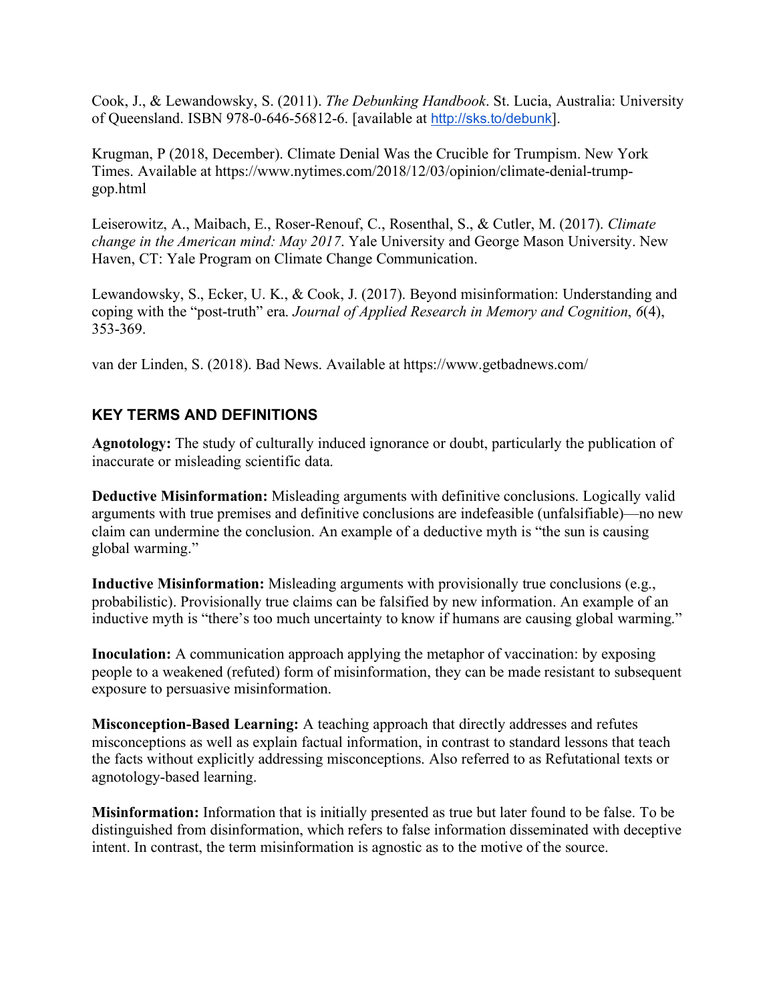Cook, J., & Lewandowsky, S. (2011). *The Debunking Handbook*. St. Lucia, Australia: University of Queensland. ISBN 978-0-646-56812-6. [available at http://sks.to/debunk].

Krugman, P (2018, December). Climate Denial Was the Crucible for Trumpism. New York Times. Available at https://www.nytimes.com/2018/12/03/opinion/climate-denial-trumpgop.html

Leiserowitz, A., Maibach, E., Roser-Renouf, C., Rosenthal, S., & Cutler, M. (2017). *Climate change in the American mind: May 2017*. Yale University and George Mason University. New Haven, CT: Yale Program on Climate Change Communication.

Lewandowsky, S., Ecker, U. K., & Cook, J. (2017). Beyond misinformation: Understanding and coping with the "post-truth" era. *Journal of Applied Research in Memory and Cognition*, *6*(4), 353-369.

van der Linden, S. (2018). Bad News. Available at https://www.getbadnews.com/

# **KEY TERMS AND DEFINITIONS**

**Agnotology:** The study of culturally induced ignorance or doubt, particularly the publication of inaccurate or misleading scientific data.

**Deductive Misinformation:** Misleading arguments with definitive conclusions. Logically valid arguments with true premises and definitive conclusions are indefeasible (unfalsifiable)—no new claim can undermine the conclusion. An example of a deductive myth is "the sun is causing global warming."

**Inductive Misinformation:** Misleading arguments with provisionally true conclusions (e.g., probabilistic). Provisionally true claims can be falsified by new information. An example of an inductive myth is "there's too much uncertainty to know if humans are causing global warming."

**Inoculation:** A communication approach applying the metaphor of vaccination: by exposing people to a weakened (refuted) form of misinformation, they can be made resistant to subsequent exposure to persuasive misinformation.

**Misconception-Based Learning:** A teaching approach that directly addresses and refutes misconceptions as well as explain factual information, in contrast to standard lessons that teach the facts without explicitly addressing misconceptions. Also referred to as Refutational texts or agnotology-based learning.

**Misinformation:** Information that is initially presented as true but later found to be false. To be distinguished from disinformation, which refers to false information disseminated with deceptive intent. In contrast, the term misinformation is agnostic as to the motive of the source.